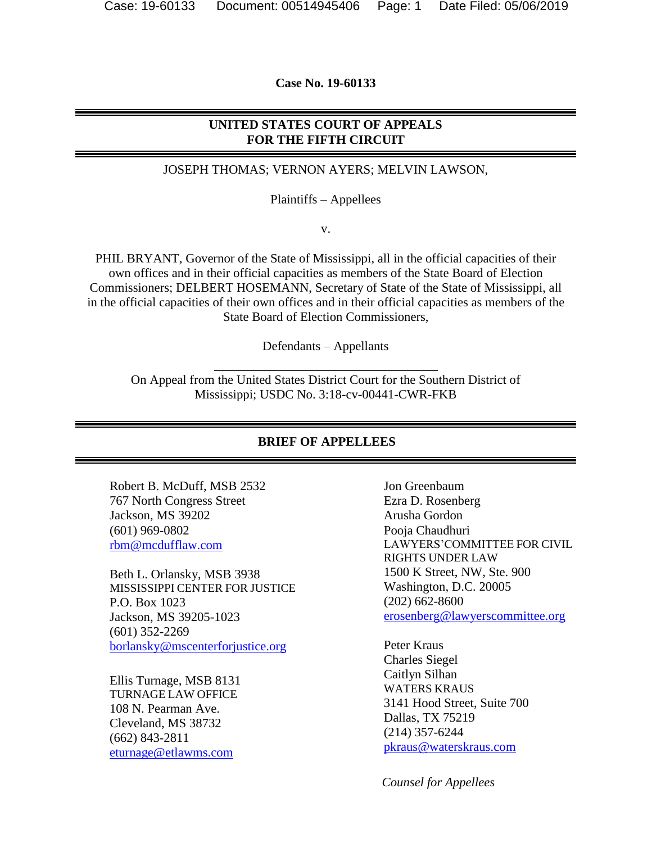**Case No. 19-60133**

#### **UNITED STATES COURT OF APPEALS FOR THE FIFTH CIRCUIT**

#### JOSEPH THOMAS; VERNON AYERS; MELVIN LAWSON,

Plaintiffs – Appellees

v.

PHIL BRYANT, Governor of the State of Mississippi, all in the official capacities of their own offices and in their official capacities as members of the State Board of Election Commissioners; DELBERT HOSEMANN, Secretary of State of the State of Mississippi, all in the official capacities of their own offices and in their official capacities as members of the State Board of Election Commissioners,

Defendants – Appellants

On Appeal from the United States District Court for the Southern District of Mississippi; USDC No. 3:18-cv-00441-CWR-FKB

#### **BRIEF OF APPELLEES**

Robert B. McDuff, MSB 2532 767 North Congress Street Jackson, MS 39202 (601) 969-0802 [rbm@mcdufflaw.com](mailto:rbm@mcdufflaw.com)

Beth L. Orlansky, MSB 3938 MISSISSIPPI CENTER FOR JUSTICE P.O. Box 1023 Jackson, MS 39205-1023 (601) 352-2269 [borlansky@mscenterforjustice.org](mailto:borlansky@mscenterforjustice.org)

Ellis Turnage, MSB 8131 TURNAGE LAW OFFICE 108 N. Pearman Ave. Cleveland, MS 38732 (662) 843-2811 [eturnage@etlawms.com](mailto:eturnage@etlawms.com)

Jon Greenbaum Ezra D. Rosenberg Arusha Gordon Pooja Chaudhuri LAWYERS'COMMITTEE FOR CIVIL RIGHTS UNDER LAW 1500 K Street, NW, Ste. 900 Washington, D.C. 20005 (202) 662-8600 [erosenberg@lawyerscommittee.org](mailto:erosenberg@lawyerscommittee.org)

Peter Kraus Charles Siegel Caitlyn Silhan WATERS KRAUS 3141 Hood Street, Suite 700 Dallas, TX 75219 (214) 357-6244 [pkraus@waterskraus.com](mailto:pkraus@waterskraus.com)

 *Counsel for Appellees*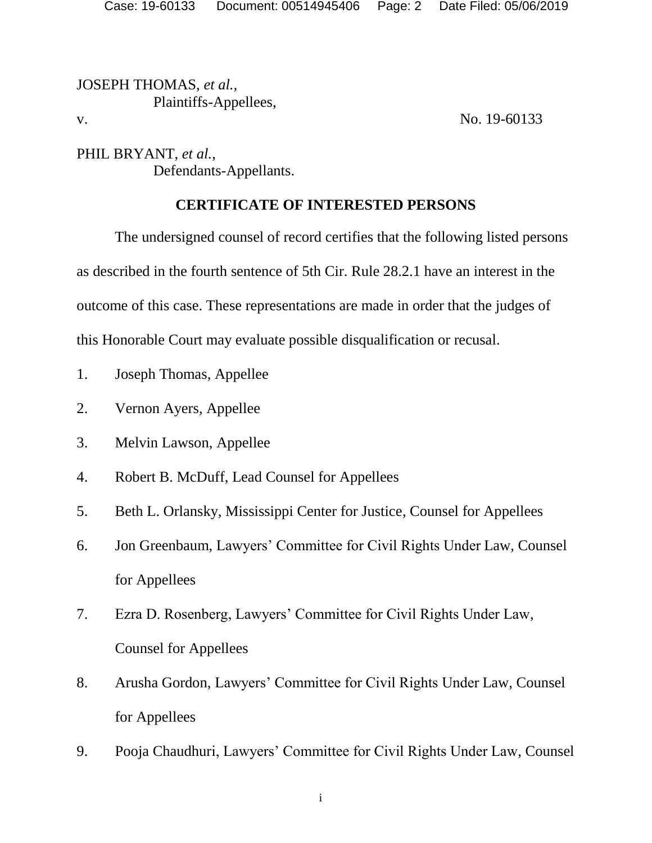JOSEPH THOMAS, *et al.,* Plaintiffs-Appellees, v. No. 19-60133

PHIL BRYANT, *et al.*, Defendants-Appellants.

# **CERTIFICATE OF INTERESTED PERSONS**

The undersigned counsel of record certifies that the following listed persons as described in the fourth sentence of 5th Cir. Rule 28.2.1 have an interest in the outcome of this case. These representations are made in order that the judges of this Honorable Court may evaluate possible disqualification or recusal.

- 1. Joseph Thomas, Appellee
- 2. Vernon Ayers, Appellee
- 3. Melvin Lawson, Appellee
- 4. Robert B. McDuff, Lead Counsel for Appellees
- 5. Beth L. Orlansky, Mississippi Center for Justice, Counsel for Appellees
- 6. Jon Greenbaum, Lawyers' Committee for Civil Rights Under Law, Counsel for Appellees
- 7. Ezra D. Rosenberg, Lawyers' Committee for Civil Rights Under Law, Counsel for Appellees
- 8. Arusha Gordon, Lawyers' Committee for Civil Rights Under Law, Counsel for Appellees
- 9. Pooja Chaudhuri, Lawyers' Committee for Civil Rights Under Law, Counsel

i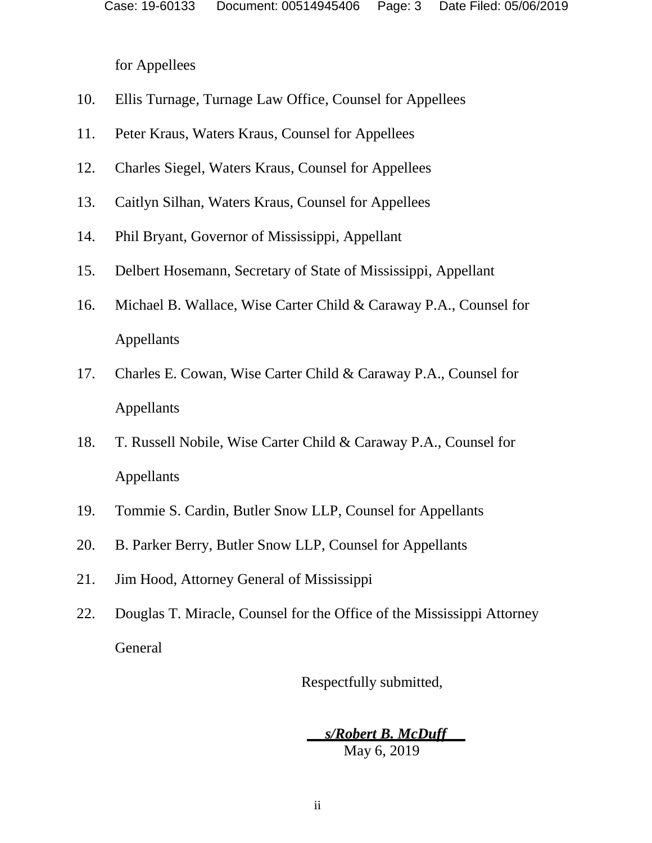for Appellees

- 10. Ellis Turnage, Turnage Law Office, Counsel for Appellees
- 11. Peter Kraus, Waters Kraus, Counsel for Appellees
- 12. Charles Siegel, Waters Kraus, Counsel for Appellees
- 13. Caitlyn Silhan, Waters Kraus, Counsel for Appellees
- 14. Phil Bryant, Governor of Mississippi, Appellant
- 15. Delbert Hosemann, Secretary of State of Mississippi, Appellant
- 16. Michael B. Wallace, Wise Carter Child & Caraway P.A., Counsel for Appellants
- 17. Charles E. Cowan, Wise Carter Child & Caraway P.A., Counsel for Appellants
- 18. T. Russell Nobile, Wise Carter Child & Caraway P.A., Counsel for Appellants
- 19. Tommie S. Cardin, Butler Snow LLP, Counsel for Appellants
- 20. B. Parker Berry, Butler Snow LLP, Counsel for Appellants
- 21. Jim Hood, Attorney General of Mississippi
- 22. Douglas T. Miracle, Counsel for the Office of the Mississippi Attorney General

Respectfully submitted,

 *s/Robert B. McDuff*  May 6, 2019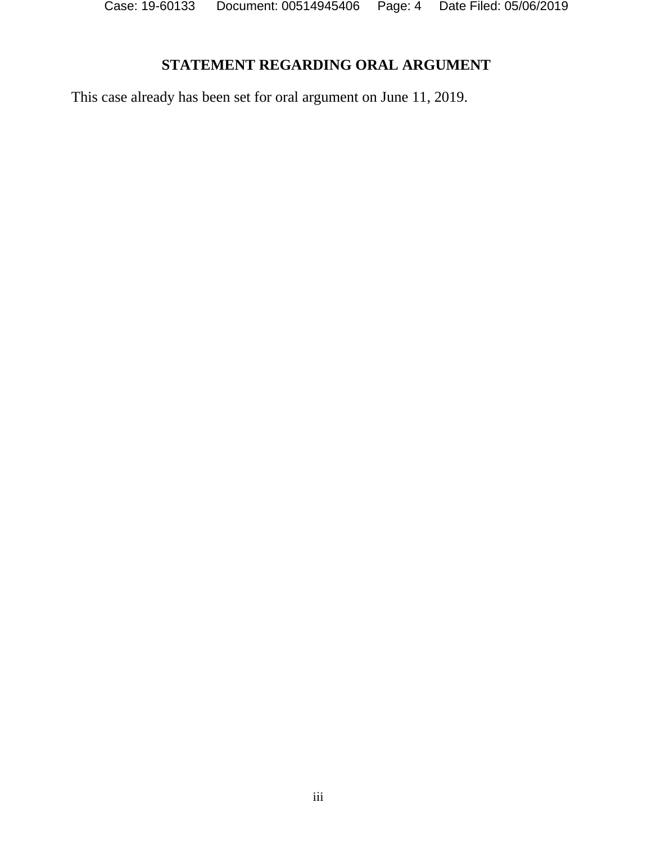# **STATEMENT REGARDING ORAL ARGUMENT**

This case already has been set for oral argument on June 11, 2019.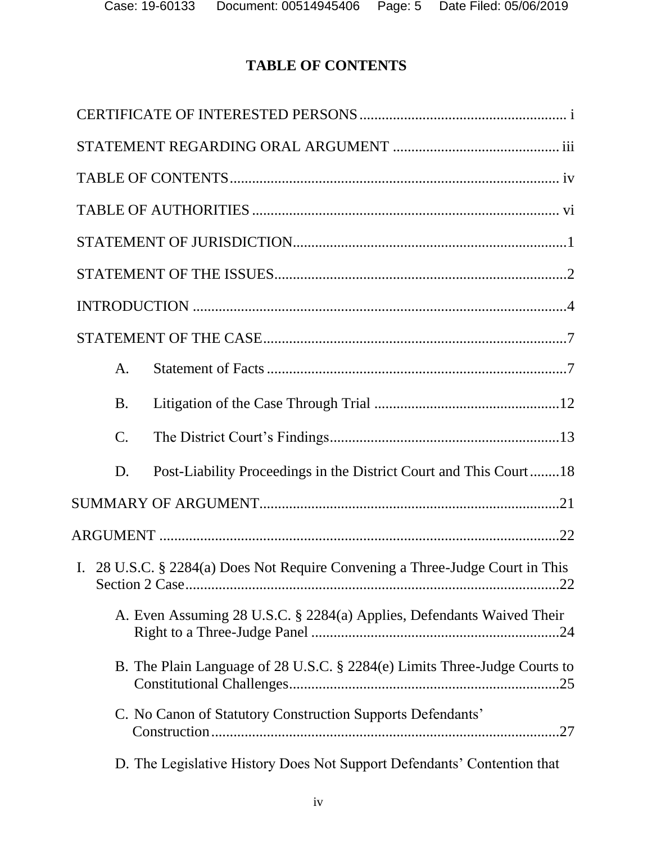# **TABLE OF CONTENTS**

| A.                                                                            |
|-------------------------------------------------------------------------------|
| <b>B.</b>                                                                     |
| $\mathcal{C}$ .                                                               |
| Post-Liability Proceedings in the District Court and This Court18<br>D.       |
|                                                                               |
|                                                                               |
| I. 28 U.S.C. § 2284(a) Does Not Require Convening a Three-Judge Court in This |
| A. Even Assuming 28 U.S.C. § 2284(a) Applies, Defendants Waived Their         |
| B. The Plain Language of 28 U.S.C. § 2284(e) Limits Three-Judge Courts to     |
| C. No Canon of Statutory Construction Supports Defendants'                    |
| D. The Legislative History Does Not Support Defendants' Contention that       |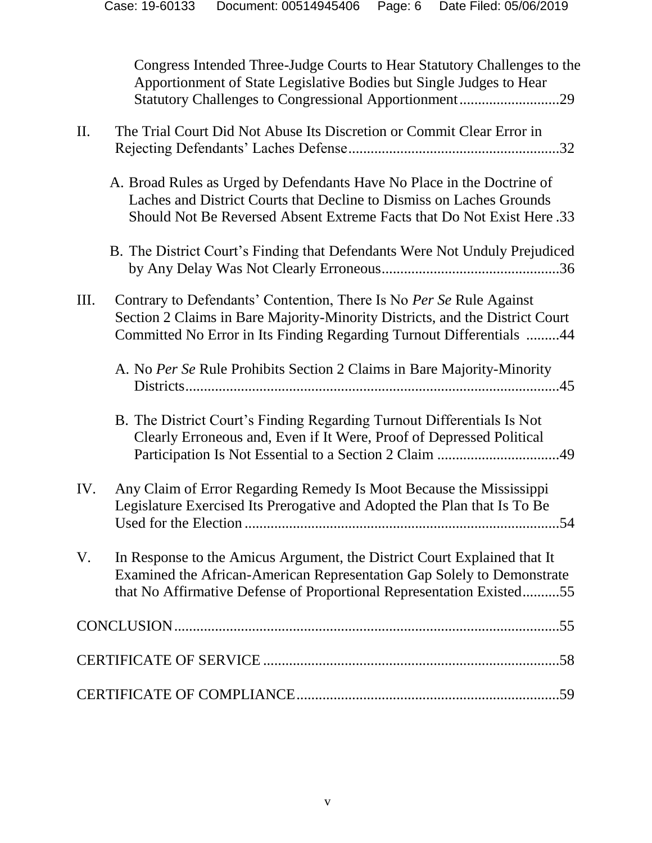| Congress Intended Three-Judge Courts to Hear Statutory Challenges to the |  |
|--------------------------------------------------------------------------|--|
| Apportionment of State Legislative Bodies but Single Judges to Hear      |  |
|                                                                          |  |

# II. The Trial Court Did Not Abuse Its Discretion or Commit Clear Error in Rejecting Defendants' Laches Defense.........................................................32 A. Broad Rules as Urged by Defendants Have No Place in the Doctrine of Laches and District Courts that Decline to Dismiss on Laches Grounds Should Not Be Reversed Absent Extreme Facts that Do Not Exist Here .33 B. The District Court's Finding that Defendants Were Not Unduly Prejudiced by Any Delay Was Not Clearly Erroneous................................................36 III. Contrary to Defendants' Contention, There Is No *Per Se* Rule Against Section 2 Claims in Bare Majority-Minority Districts, and the District Court Committed No Error in Its Finding Regarding Turnout Differentials .........44 A. No *Per Se* Rule Prohibits Section 2 Claims in Bare Majority-Minority Districts.....................................................................................................45 B. The District Court's Finding Regarding Turnout Differentials Is Not Clearly Erroneous and, Even if It Were, Proof of Depressed Political Participation Is Not Essential to a Section 2 Claim .................................49 IV. Any Claim of Error Regarding Remedy Is Moot Because the Mississippi Legislature Exercised Its Prerogative and Adopted the Plan that Is To Be Used for the Election .....................................................................................54 V. In Response to the Amicus Argument, the District Court Explained that It Examined the African-American Representation Gap Solely to Demonstrate that No Affirmative Defense of Proportional Representation Existed..........55 CONCLUSION........................................................................................................55 CERTIFICATE OF SERVICE ................................................................................58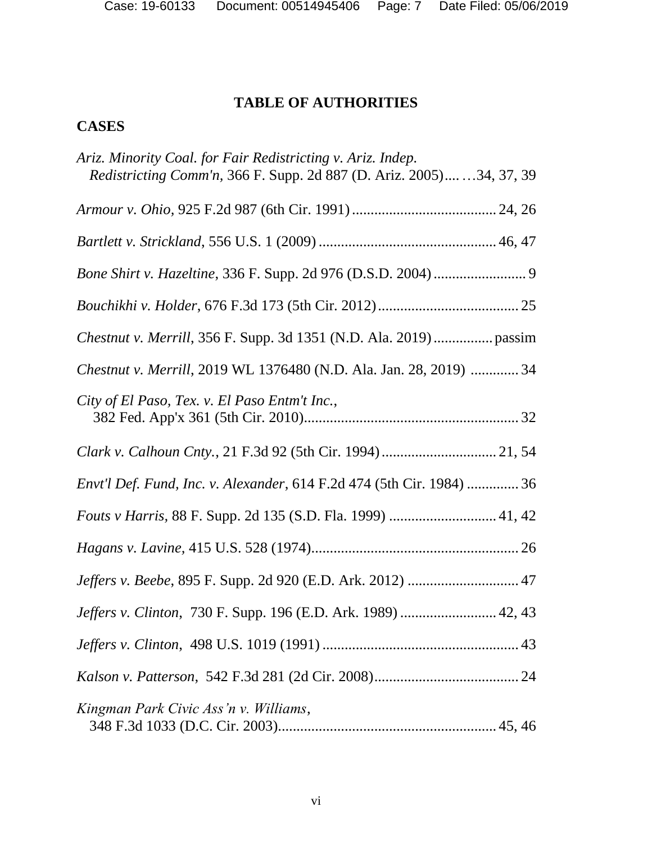# **TABLE OF AUTHORITIES**

# **CASES**

| Ariz. Minority Coal. for Fair Redistricting v. Ariz. Indep.<br><i>Redistricting Comm'n, 366 F. Supp. 2d 887 (D. Ariz. 2005)</i> 34, 37, 39 |
|--------------------------------------------------------------------------------------------------------------------------------------------|
|                                                                                                                                            |
|                                                                                                                                            |
| <i>Bone Shirt v. Hazeltine, 336 F. Supp. 2d 976 (D.S.D. 2004) </i> 9                                                                       |
|                                                                                                                                            |
|                                                                                                                                            |
| Chestnut v. Merrill, 2019 WL 1376480 (N.D. Ala. Jan. 28, 2019)  34                                                                         |
| City of El Paso, Tex. v. El Paso Entm't Inc.,                                                                                              |
|                                                                                                                                            |
| Envt'l Def. Fund, Inc. v. Alexander, 614 F.2d 474 (5th Cir. 1984)  36                                                                      |
|                                                                                                                                            |
|                                                                                                                                            |
|                                                                                                                                            |
| Jeffers v. Clinton, 730 F. Supp. 196 (E.D. Ark. 1989)  42, 43                                                                              |
|                                                                                                                                            |
|                                                                                                                                            |
| Kingman Park Civic Ass'n v. Williams,                                                                                                      |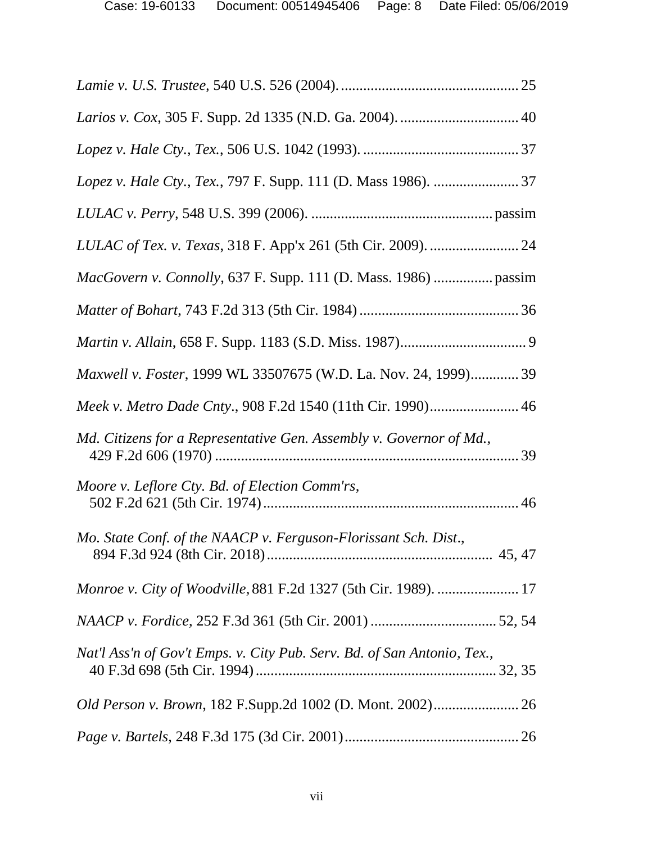| <i>MacGovern v. Connolly, 637 F. Supp. 111 (D. Mass. 1986)  passim</i>  |
|-------------------------------------------------------------------------|
|                                                                         |
|                                                                         |
| Maxwell v. Foster, 1999 WL 33507675 (W.D. La. Nov. 24, 1999) 39         |
| Meek v. Metro Dade Cnty., 908 F.2d 1540 (11th Cir. 1990) 46             |
| Md. Citizens for a Representative Gen. Assembly v. Governor of Md.,     |
| Moore v. Leflore Cty. Bd. of Election Comm'rs,                          |
| Mo. State Conf. of the NAACP v. Ferguson-Florissant Sch. Dist.,         |
|                                                                         |
|                                                                         |
| Nat'l Ass'n of Gov't Emps. v. City Pub. Serv. Bd. of San Antonio, Tex., |
|                                                                         |
|                                                                         |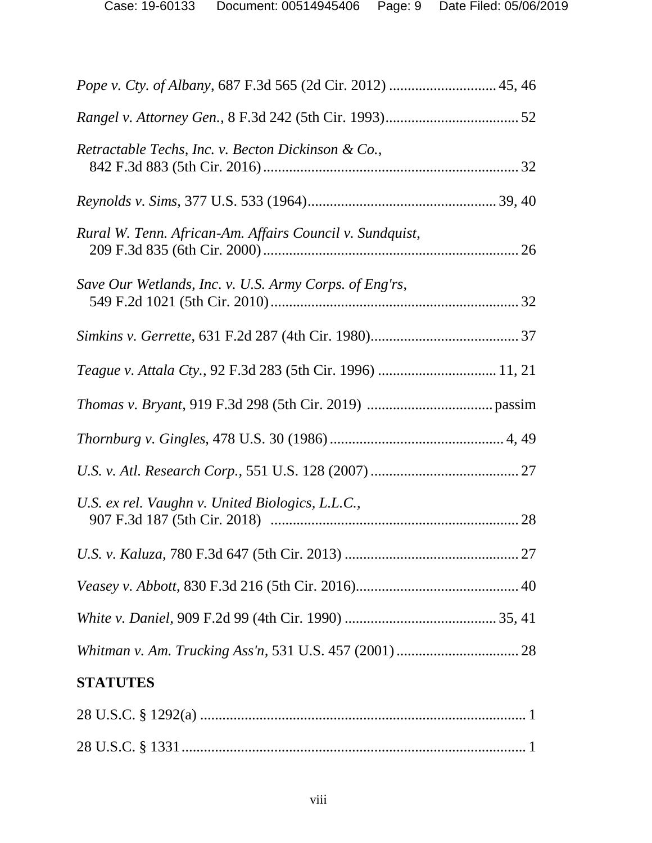| Retractable Techs, Inc. v. Becton Dickinson & Co.,       |
|----------------------------------------------------------|
|                                                          |
| Rural W. Tenn. African-Am. Affairs Council v. Sundquist, |
| Save Our Wetlands, Inc. v. U.S. Army Corps. of Eng'rs,   |
|                                                          |
|                                                          |
|                                                          |
|                                                          |
|                                                          |
| U.S. ex rel. Vaughn v. United Biologics, L.L.C.,         |
|                                                          |
|                                                          |
|                                                          |
|                                                          |
| <b>STATUTES</b>                                          |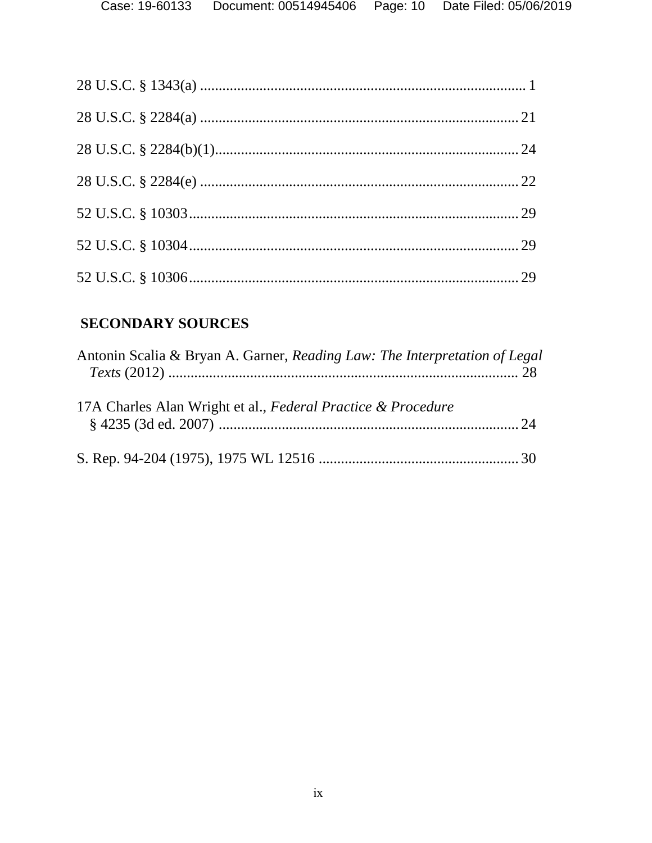# **SECONDARY SOURCES**

| Antonin Scalia & Bryan A. Garner, Reading Law: The Interpretation of Legal |  |
|----------------------------------------------------------------------------|--|
| 17A Charles Alan Wright et al., Federal Practice & Procedure               |  |
|                                                                            |  |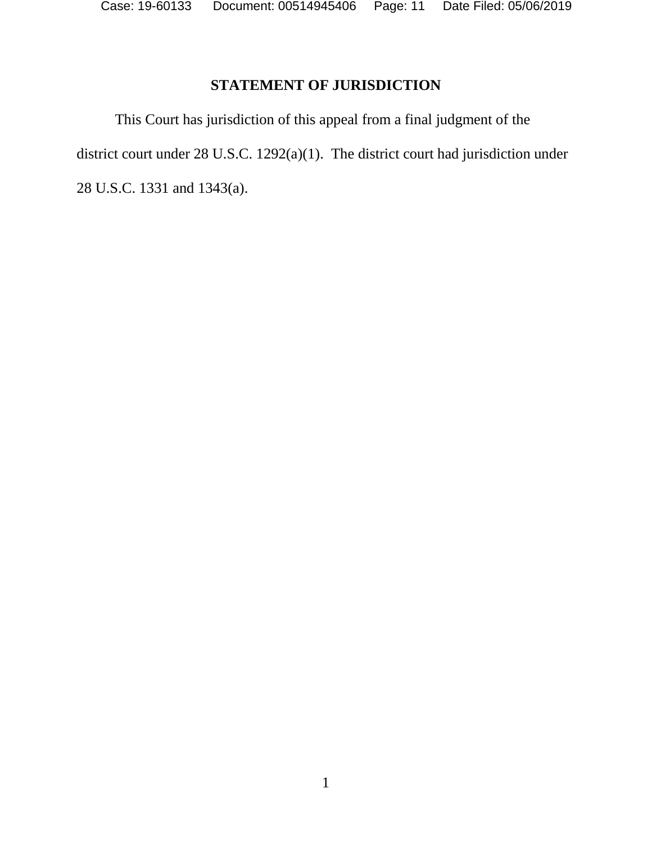Case: 19-60133 Document: 00514945406 Page: 11 Date Filed: 05/06/2019

# **STATEMENT OF JURISDICTION**

This Court has jurisdiction of this appeal from a final judgment of the district court under 28 U.S.C. 1292(a)(1). The district court had jurisdiction under 28 U.S.C. 1331 and 1343(a).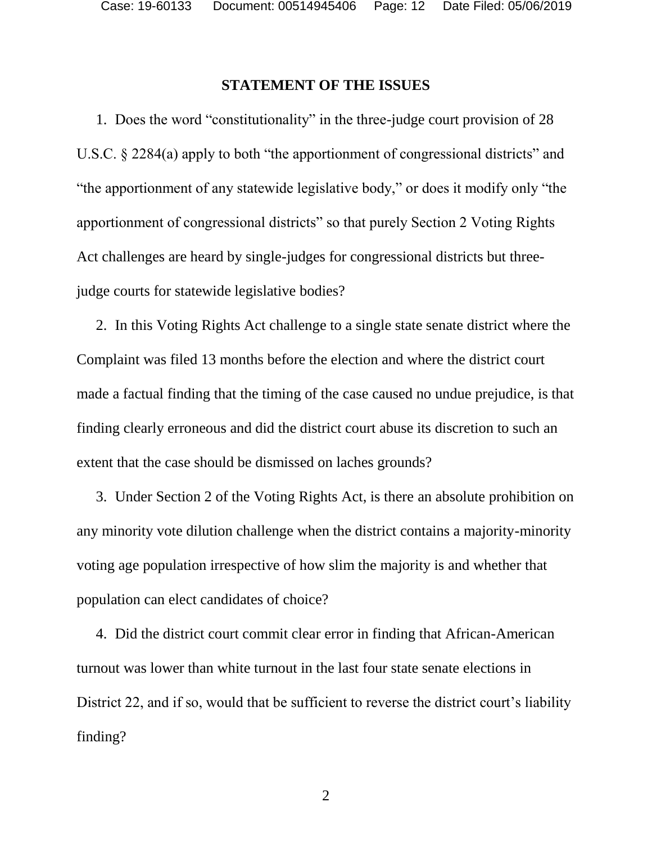#### **STATEMENT OF THE ISSUES**

1. Does the word "constitutionality" in the three-judge court provision of 28 U.S.C. § 2284(a) apply to both "the apportionment of congressional districts" and "the apportionment of any statewide legislative body," or does it modify only "the apportionment of congressional districts" so that purely Section 2 Voting Rights Act challenges are heard by single-judges for congressional districts but threejudge courts for statewide legislative bodies?

2. In this Voting Rights Act challenge to a single state senate district where the Complaint was filed 13 months before the election and where the district court made a factual finding that the timing of the case caused no undue prejudice, is that finding clearly erroneous and did the district court abuse its discretion to such an extent that the case should be dismissed on laches grounds?

3. Under Section 2 of the Voting Rights Act, is there an absolute prohibition on any minority vote dilution challenge when the district contains a majority-minority voting age population irrespective of how slim the majority is and whether that population can elect candidates of choice?

4. Did the district court commit clear error in finding that African-American turnout was lower than white turnout in the last four state senate elections in District 22, and if so, would that be sufficient to reverse the district court's liability finding?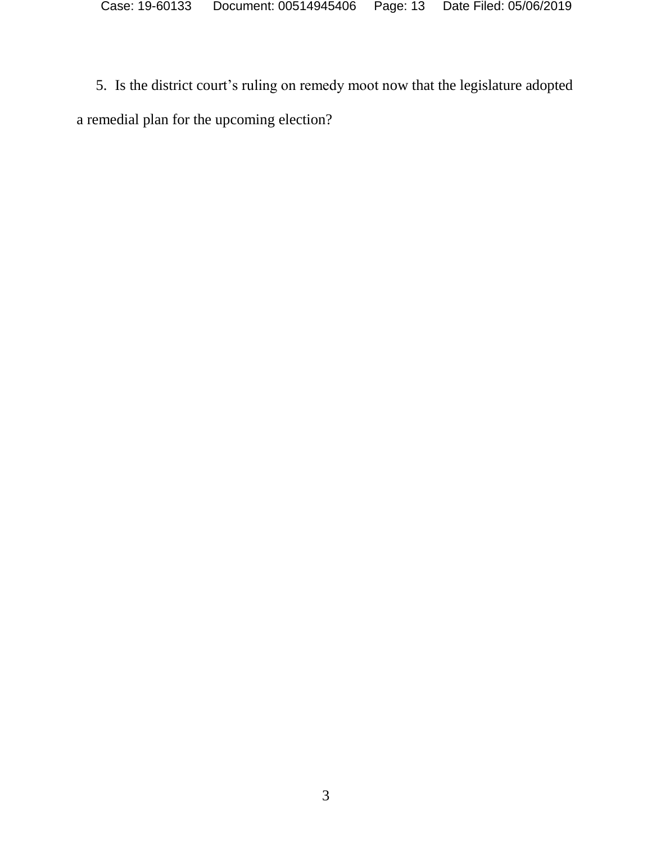5. Is the district court's ruling on remedy moot now that the legislature adopted a remedial plan for the upcoming election?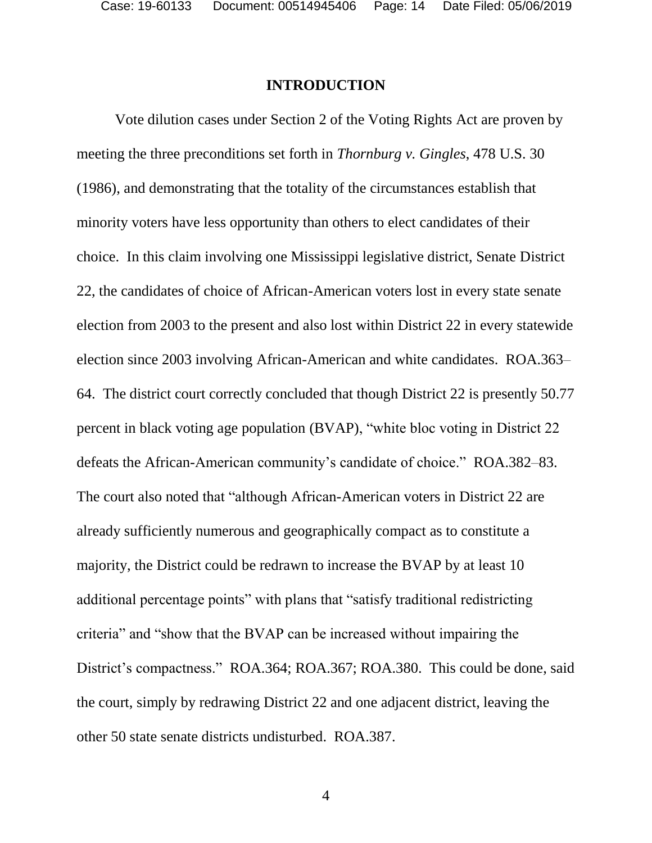#### **INTRODUCTION**

Vote dilution cases under Section 2 of the Voting Rights Act are proven by meeting the three preconditions set forth in *Thornburg v. Gingles*, 478 U.S. 30 (1986), and demonstrating that the totality of the circumstances establish that minority voters have less opportunity than others to elect candidates of their choice. In this claim involving one Mississippi legislative district, Senate District 22, the candidates of choice of African-American voters lost in every state senate election from 2003 to the present and also lost within District 22 in every statewide election since 2003 involving African-American and white candidates. ROA.363– 64. The district court correctly concluded that though District 22 is presently 50.77 percent in black voting age population (BVAP), "white bloc voting in District 22 defeats the African-American community's candidate of choice." ROA.382–83. The court also noted that "although African-American voters in District 22 are already sufficiently numerous and geographically compact as to constitute a majority, the District could be redrawn to increase the BVAP by at least 10 additional percentage points" with plans that "satisfy traditional redistricting criteria" and "show that the BVAP can be increased without impairing the District's compactness." ROA.364; ROA.367; ROA.380. This could be done, said the court, simply by redrawing District 22 and one adjacent district, leaving the other 50 state senate districts undisturbed. ROA.387.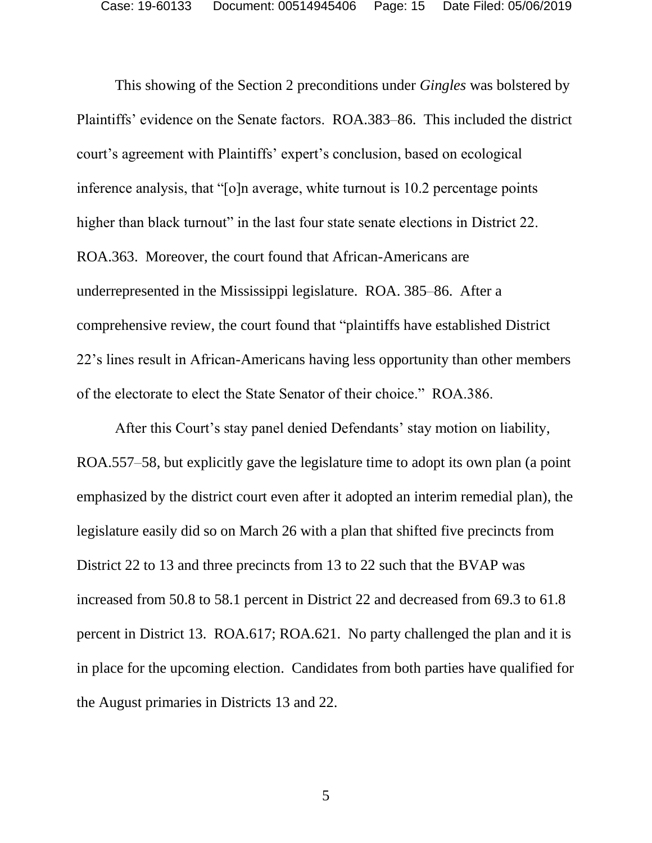This showing of the Section 2 preconditions under *Gingles* was bolstered by Plaintiffs' evidence on the Senate factors. ROA.383–86. This included the district court's agreement with Plaintiffs' expert's conclusion, based on ecological inference analysis, that "[o]n average, white turnout is 10.2 percentage points higher than black turnout" in the last four state senate elections in District 22. ROA.363. Moreover, the court found that African-Americans are underrepresented in the Mississippi legislature. ROA. 385–86. After a comprehensive review, the court found that "plaintiffs have established District 22's lines result in African-Americans having less opportunity than other members of the electorate to elect the State Senator of their choice." ROA.386.

After this Court's stay panel denied Defendants' stay motion on liability, ROA.557–58, but explicitly gave the legislature time to adopt its own plan (a point emphasized by the district court even after it adopted an interim remedial plan), the legislature easily did so on March 26 with a plan that shifted five precincts from District 22 to 13 and three precincts from 13 to 22 such that the BVAP was increased from 50.8 to 58.1 percent in District 22 and decreased from 69.3 to 61.8 percent in District 13. ROA.617; ROA.621. No party challenged the plan and it is in place for the upcoming election. Candidates from both parties have qualified for the August primaries in Districts 13 and 22.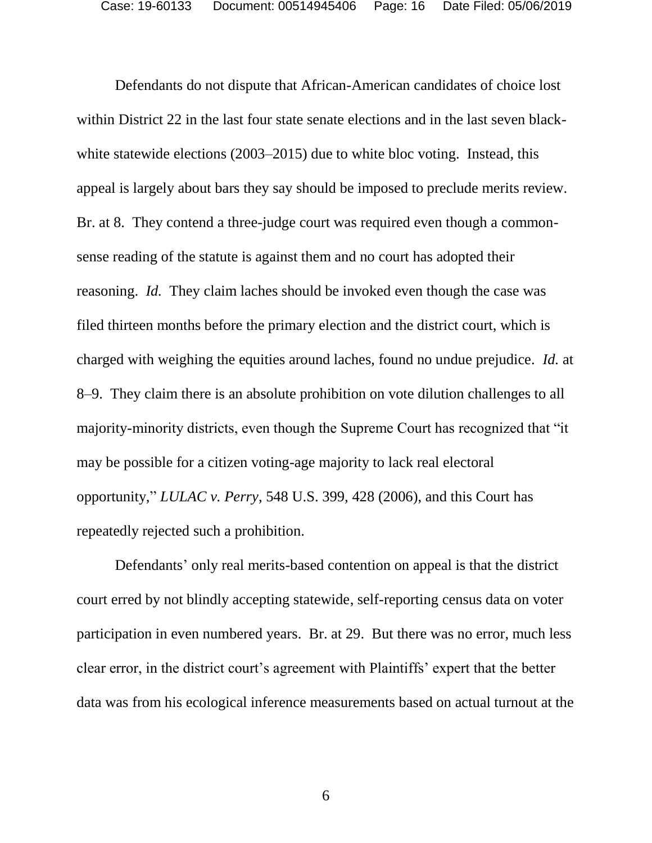Defendants do not dispute that African-American candidates of choice lost within District 22 in the last four state senate elections and in the last seven blackwhite statewide elections (2003–2015) due to white bloc voting. Instead, this appeal is largely about bars they say should be imposed to preclude merits review. Br. at 8. They contend a three-judge court was required even though a commonsense reading of the statute is against them and no court has adopted their reasoning. *Id.* They claim laches should be invoked even though the case was filed thirteen months before the primary election and the district court, which is charged with weighing the equities around laches, found no undue prejudice. *Id.* at 8–9. They claim there is an absolute prohibition on vote dilution challenges to all majority-minority districts, even though the Supreme Court has recognized that "it may be possible for a citizen voting-age majority to lack real electoral opportunity," *LULAC v. Perry*, 548 U.S. 399, 428 (2006), and this Court has repeatedly rejected such a prohibition.

Defendants' only real merits-based contention on appeal is that the district court erred by not blindly accepting statewide, self-reporting census data on voter participation in even numbered years. Br. at 29. But there was no error, much less clear error, in the district court's agreement with Plaintiffs' expert that the better data was from his ecological inference measurements based on actual turnout at the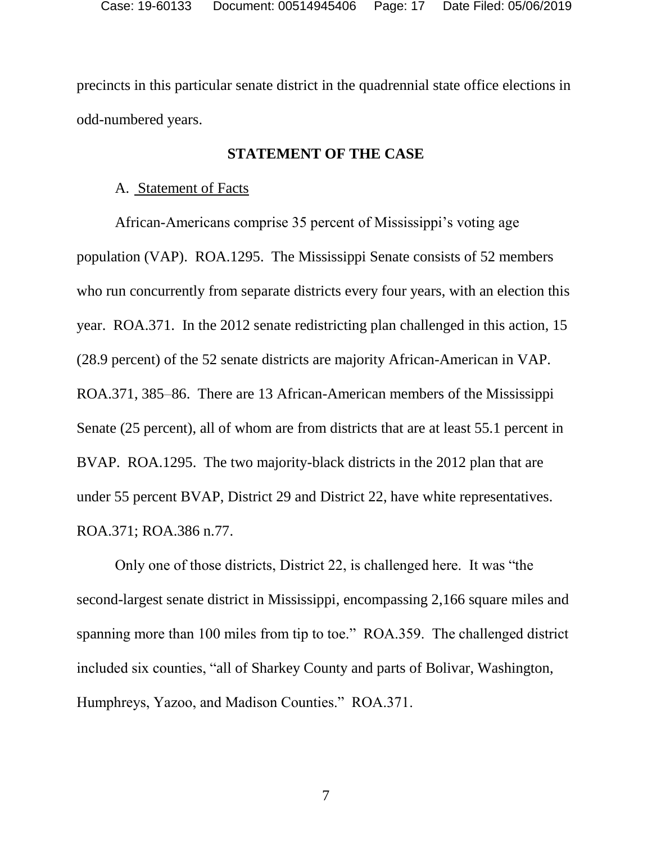precincts in this particular senate district in the quadrennial state office elections in odd-numbered years.

#### **STATEMENT OF THE CASE**

#### A. Statement of Facts

African-Americans comprise 35 percent of Mississippi's voting age population (VAP). ROA.1295. The Mississippi Senate consists of 52 members who run concurrently from separate districts every four years, with an election this year. ROA.371. In the 2012 senate redistricting plan challenged in this action, 15 (28.9 percent) of the 52 senate districts are majority African-American in VAP. ROA.371, 385–86. There are 13 African-American members of the Mississippi Senate (25 percent), all of whom are from districts that are at least 55.1 percent in BVAP. ROA.1295. The two majority-black districts in the 2012 plan that are under 55 percent BVAP, District 29 and District 22, have white representatives. ROA.371; ROA.386 n.77.

Only one of those districts, District 22, is challenged here. It was "the second-largest senate district in Mississippi, encompassing 2,166 square miles and spanning more than 100 miles from tip to toe." ROA.359. The challenged district included six counties, "all of Sharkey County and parts of Bolivar, Washington, Humphreys, Yazoo, and Madison Counties." ROA.371.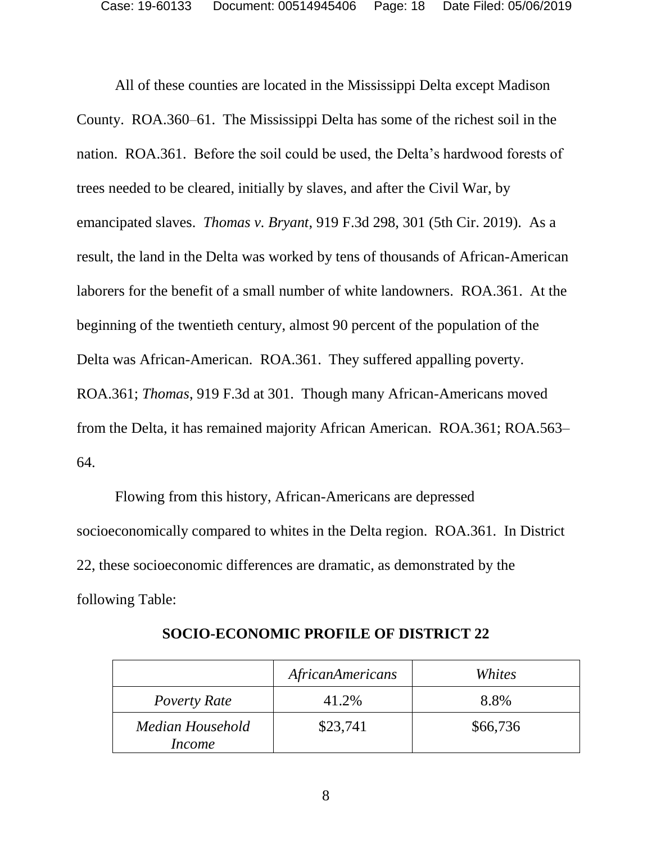All of these counties are located in the Mississippi Delta except Madison County. ROA.360–61. The Mississippi Delta has some of the richest soil in the nation. ROA.361. Before the soil could be used, the Delta's hardwood forests of trees needed to be cleared, initially by slaves, and after the Civil War, by emancipated slaves. *Thomas v. Bryant*, 919 F.3d 298, 301 (5th Cir. 2019). As a result, the land in the Delta was worked by tens of thousands of African-American laborers for the benefit of a small number of white landowners. ROA.361. At the beginning of the twentieth century, almost 90 percent of the population of the Delta was African-American. ROA.361. They suffered appalling poverty. ROA.361; *Thomas*, 919 F.3d at 301. Though many African-Americans moved from the Delta, it has remained majority African American. ROA*.*361; ROA.563– 64.

Flowing from this history, African-Americans are depressed socioeconomically compared to whites in the Delta region. ROA.361. In District 22, these socioeconomic differences are dramatic, as demonstrated by the following Table:

|                            | AfricanAmericans | Whites   |
|----------------------------|------------------|----------|
| Poverty Rate               | 41.2%            | 8.8%     |
| Median Household<br>Income | \$23,741         | \$66,736 |

**SOCIO-ECONOMIC PROFILE OF DISTRICT 22**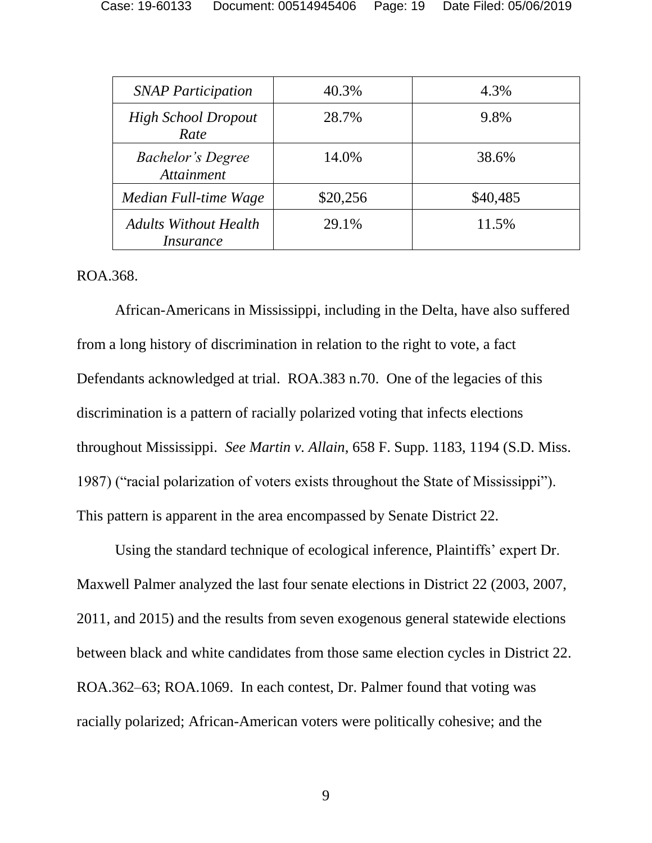| <b>SNAP Participation</b>                            | 40.3%    | 4.3%     |
|------------------------------------------------------|----------|----------|
| <b>High School Dropout</b><br>Rate                   | 28.7%    | 9.8%     |
| <b>Bachelor's Degree</b><br><i><b>Attainment</b></i> | 14.0%    | 38.6%    |
| Median Full-time Wage                                | \$20,256 | \$40,485 |
| <b>Adults Without Health</b><br><i>Insurance</i>     | 29.1%    | 11.5%    |

ROA.368.

African-Americans in Mississippi, including in the Delta, have also suffered from a long history of discrimination in relation to the right to vote, a fact Defendants acknowledged at trial. ROA.383 n.70. One of the legacies of this discrimination is a pattern of racially polarized voting that infects elections throughout Mississippi. *See Martin v. Allain*, 658 F. Supp. 1183, 1194 (S.D. Miss. 1987) ("racial polarization of voters exists throughout the State of Mississippi"). This pattern is apparent in the area encompassed by Senate District 22.

Using the standard technique of ecological inference, Plaintiffs' expert Dr. Maxwell Palmer analyzed the last four senate elections in District 22 (2003, 2007, 2011, and 2015) and the results from seven exogenous general statewide elections between black and white candidates from those same election cycles in District 22. ROA.362–63; ROA.1069. In each contest, Dr. Palmer found that voting was racially polarized; African-American voters were politically cohesive; and the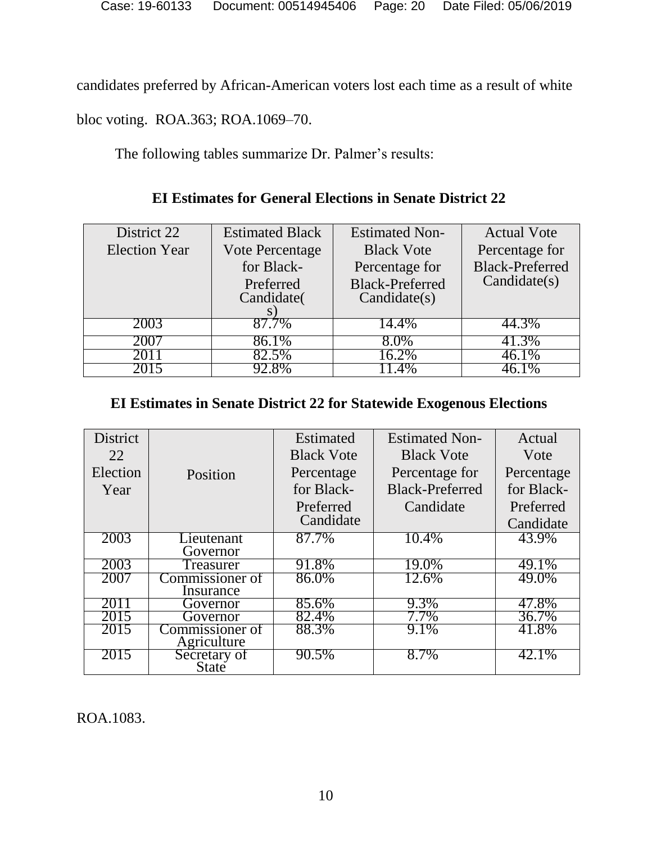candidates preferred by African-American voters lost each time as a result of white

bloc voting. ROA.363; ROA.1069–70.

The following tables summarize Dr. Palmer's results:

# **EI Estimates for General Elections in Senate District 22**

| District 22          | <b>Estimated Black</b> | <b>Estimated Non-</b>  | <b>Actual Vote</b>     |
|----------------------|------------------------|------------------------|------------------------|
| <b>Election Year</b> | Vote Percentage        | <b>Black Vote</b>      | Percentage for         |
|                      | for Black-             | Percentage for         | <b>Black-Preferred</b> |
|                      | Preferred              | <b>Black-Preferred</b> | Candidate(s)           |
|                      | Candidate(             | Candidate(s)           |                        |
|                      |                        |                        |                        |
| 2003                 | 87.7%                  | 14.4%                  | 44.3%                  |
| 200 T                | 86.1%                  | 8.0%                   | 41.3%                  |
| 2011                 | 82.5%                  | $16.2\%$               | $-6.1\%$               |
|                      |                        | $.4\%$                 |                        |

### **EI Estimates in Senate District 22 for Statewide Exogenous Elections**

| <b>District</b> |                       | Estimated         | <b>Estimated Non-</b>  | Actual     |
|-----------------|-----------------------|-------------------|------------------------|------------|
| 22              |                       | <b>Black Vote</b> | <b>Black Vote</b>      | Vote       |
| Election        | Position              | Percentage        | Percentage for         | Percentage |
| Year            |                       | for Black-        | <b>Black-Preferred</b> | for Black- |
|                 |                       | Preferred         | Candidate              | Preferred  |
|                 |                       | Candidate         |                        | Candidate  |
| 2003            | Lieutenant            | 87.7%             | 10.4%                  | 43.9%      |
|                 | Governor              |                   |                        |            |
| 2003            | Treasurer             | 91.8%             | 19.0%                  | 49.1%      |
| 2007            | Commissioner of       | 86.0%             | 12.6%                  | 49.0%      |
|                 | Insurance             |                   |                        |            |
| 2011            | Governor              | 85.6%             | 9.3%                   | 47.8%      |
| 2015            | Governor              | 82.4%             | 7.7%                   | 36.7%      |
| 2015            | Commissioner of       | 88.3%             | 9.1%                   | 41.8%      |
|                 | Agriculture           |                   |                        |            |
| 2015            | Secretary of<br>State | 90.5%             | 8.7%                   | 42.1%      |

ROA.1083.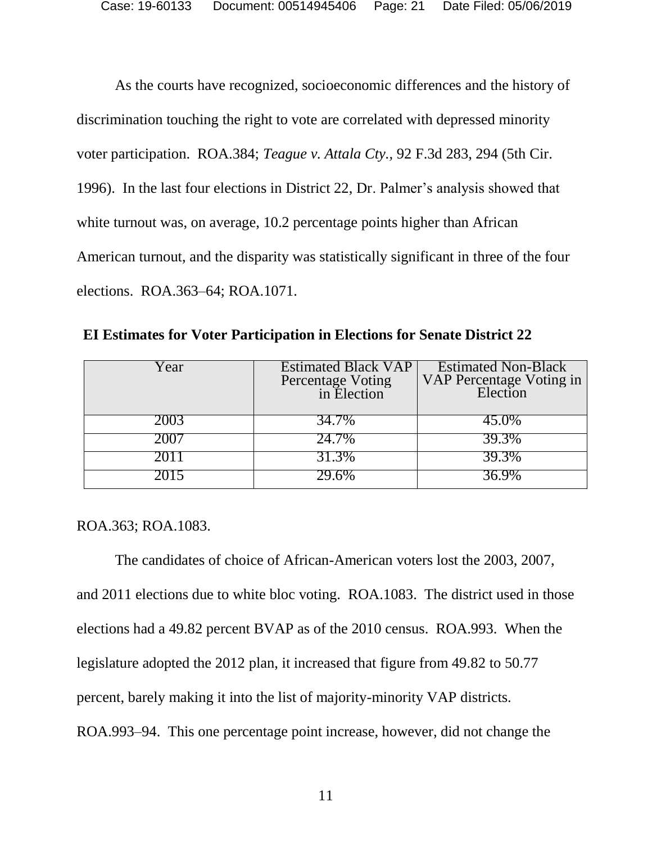As the courts have recognized, socioeconomic differences and the history of discrimination touching the right to vote are correlated with depressed minority voter participation. ROA.384; *Teague v. Attala Cty.,* 92 F.3d 283, 294 (5th Cir. 1996). In the last four elections in District 22, Dr. Palmer's analysis showed that white turnout was, on average, 10.2 percentage points higher than African American turnout, and the disparity was statistically significant in three of the four elections. ROA.363–64; ROA.1071.

| ear! | <b>Estimated Black VAP</b><br>Percentage Voting<br>in Election | <b>Estimated Non-Black</b><br>VAP Percentage Voting in<br>Election |
|------|----------------------------------------------------------------|--------------------------------------------------------------------|
| 2003 | 34.7%                                                          | 45.0%                                                              |
| 2007 | 24.7%                                                          | 39.3%                                                              |
|      | 31.3%                                                          | 39.3%                                                              |
|      |                                                                |                                                                    |

**EI Estimates for Voter Participation in Elections for Senate District 22**

ROA.363; ROA.1083.

The candidates of choice of African-American voters lost the 2003, 2007, and 2011 elections due to white bloc voting. ROA.1083. The district used in those elections had a 49.82 percent BVAP as of the 2010 census. ROA.993. When the legislature adopted the 2012 plan, it increased that figure from 49.82 to 50.77 percent, barely making it into the list of majority-minority VAP districts. ROA.993–94. This one percentage point increase, however, did not change the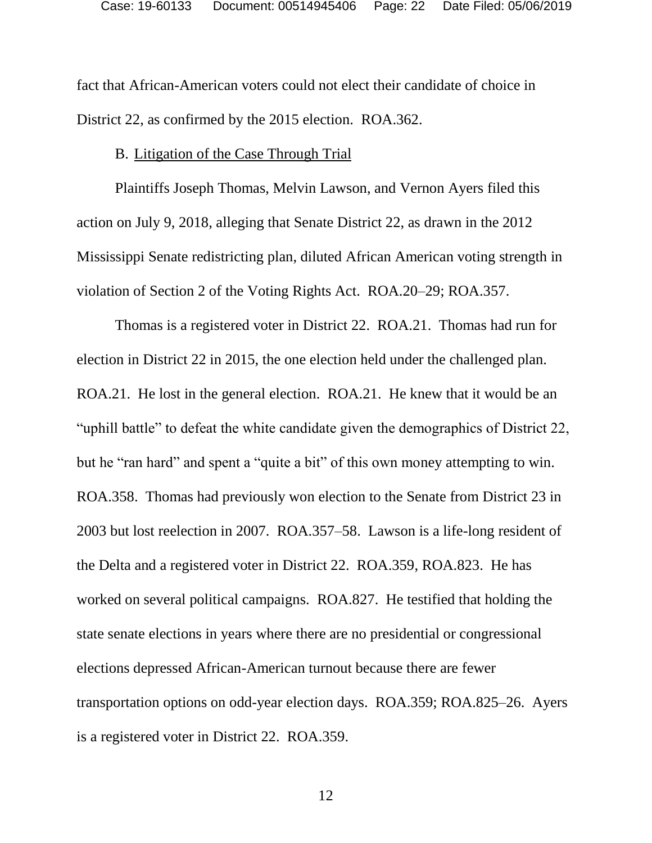fact that African-American voters could not elect their candidate of choice in District 22, as confirmed by the 2015 election. ROA.362.

#### B. Litigation of the Case Through Trial

Plaintiffs Joseph Thomas, Melvin Lawson, and Vernon Ayers filed this action on July 9, 2018, alleging that Senate District 22, as drawn in the 2012 Mississippi Senate redistricting plan, diluted African American voting strength in violation of Section 2 of the Voting Rights Act. ROA.20–29; ROA.357.

Thomas is a registered voter in District 22. ROA.21. Thomas had run for election in District 22 in 2015, the one election held under the challenged plan. ROA.21. He lost in the general election. ROA.21. He knew that it would be an "uphill battle" to defeat the white candidate given the demographics of District 22, but he "ran hard" and spent a "quite a bit" of this own money attempting to win. ROA.358. Thomas had previously won election to the Senate from District 23 in 2003 but lost reelection in 2007. ROA.357–58. Lawson is a life-long resident of the Delta and a registered voter in District 22. ROA.359, ROA.823. He has worked on several political campaigns. ROA.827. He testified that holding the state senate elections in years where there are no presidential or congressional elections depressed African-American turnout because there are fewer transportation options on odd-year election days. ROA.359; ROA.825–26. Ayers is a registered voter in District 22. ROA.359.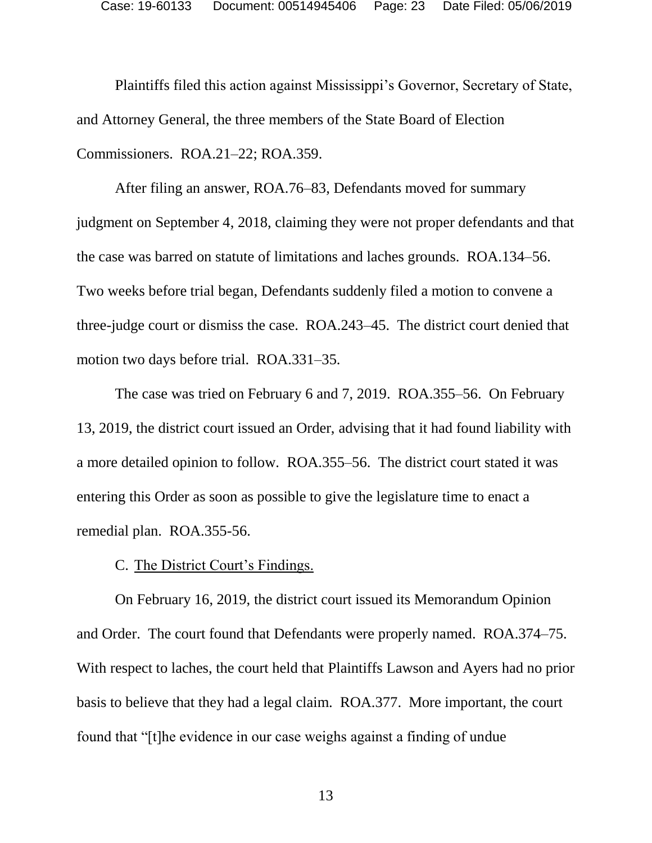Plaintiffs filed this action against Mississippi's Governor, Secretary of State, and Attorney General, the three members of the State Board of Election Commissioners. ROA.21–22; ROA.359.

After filing an answer, ROA.76–83, Defendants moved for summary judgment on September 4, 2018, claiming they were not proper defendants and that the case was barred on statute of limitations and laches grounds. ROA.134–56. Two weeks before trial began, Defendants suddenly filed a motion to convene a three-judge court or dismiss the case. ROA.243–45. The district court denied that motion two days before trial. ROA.331–35.

The case was tried on February 6 and 7, 2019. ROA.355–56. On February 13, 2019, the district court issued an Order, advising that it had found liability with a more detailed opinion to follow. ROA.355–56. The district court stated it was entering this Order as soon as possible to give the legislature time to enact a remedial plan. ROA.355-56.

C. The District Court's Findings.

On February 16, 2019, the district court issued its Memorandum Opinion and Order. The court found that Defendants were properly named. ROA.374–75. With respect to laches, the court held that Plaintiffs Lawson and Ayers had no prior basis to believe that they had a legal claim. ROA.377. More important, the court found that "[t]he evidence in our case weighs against a finding of undue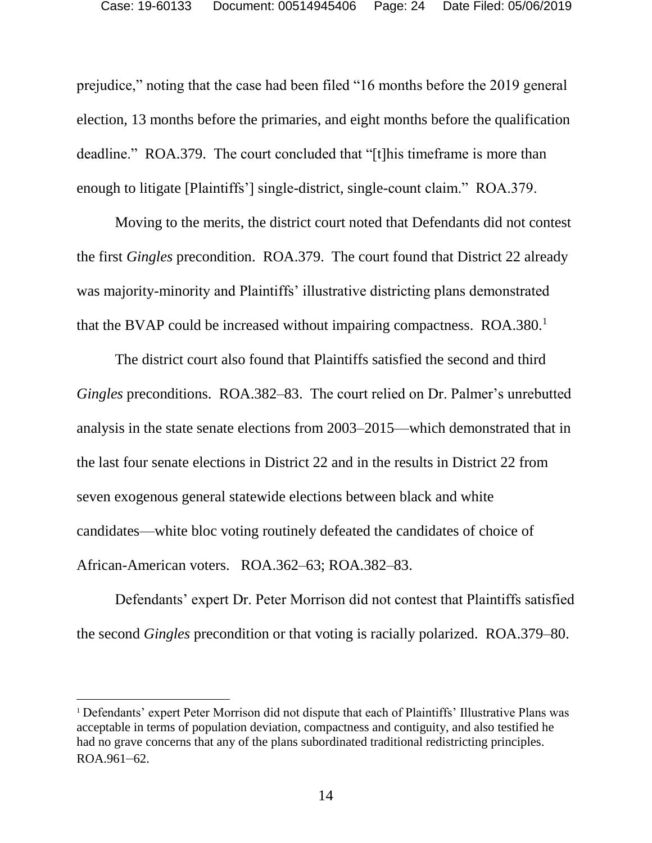prejudice," noting that the case had been filed "16 months before the 2019 general election, 13 months before the primaries, and eight months before the qualification deadline." ROA.379. The court concluded that "[t]his timeframe is more than enough to litigate [Plaintiffs'] single-district, single-count claim." ROA.379.

Moving to the merits, the district court noted that Defendants did not contest the first *Gingles* precondition. ROA.379. The court found that District 22 already was majority-minority and Plaintiffs' illustrative districting plans demonstrated that the BVAP could be increased without impairing compactness. ROA.380.<sup>1</sup>

The district court also found that Plaintiffs satisfied the second and third *Gingles* preconditions. ROA.382–83. The court relied on Dr. Palmer's unrebutted analysis in the state senate elections from 2003–2015—which demonstrated that in the last four senate elections in District 22 and in the results in District 22 from seven exogenous general statewide elections between black and white candidates—white bloc voting routinely defeated the candidates of choice of African-American voters. ROA.362–63; ROA.382–83.

Defendants' expert Dr. Peter Morrison did not contest that Plaintiffs satisfied the second *Gingles* precondition or that voting is racially polarized. ROA.379–80.

<sup>1</sup> Defendants' expert Peter Morrison did not dispute that each of Plaintiffs' Illustrative Plans was acceptable in terms of population deviation, compactness and contiguity, and also testified he had no grave concerns that any of the plans subordinated traditional redistricting principles. ROA.961–62.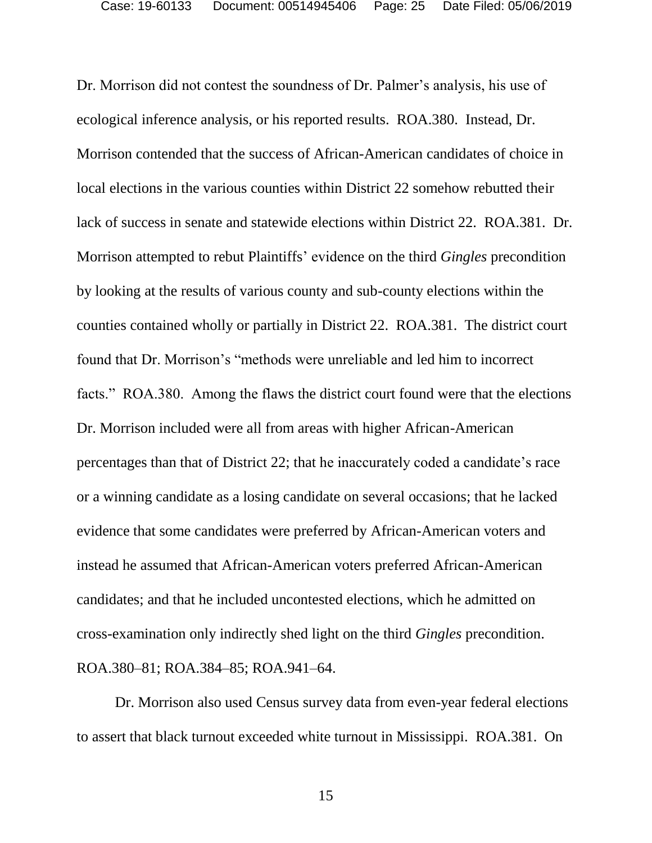Dr. Morrison did not contest the soundness of Dr. Palmer's analysis, his use of ecological inference analysis, or his reported results. ROA.380. Instead, Dr. Morrison contended that the success of African-American candidates of choice in local elections in the various counties within District 22 somehow rebutted their lack of success in senate and statewide elections within District 22. ROA.381. Dr. Morrison attempted to rebut Plaintiffs' evidence on the third *Gingles* precondition by looking at the results of various county and sub-county elections within the counties contained wholly or partially in District 22. ROA.381. The district court found that Dr. Morrison's "methods were unreliable and led him to incorrect facts." ROA.380. Among the flaws the district court found were that the elections Dr. Morrison included were all from areas with higher African-American percentages than that of District 22; that he inaccurately coded a candidate's race or a winning candidate as a losing candidate on several occasions; that he lacked evidence that some candidates were preferred by African-American voters and instead he assumed that African-American voters preferred African-American candidates; and that he included uncontested elections, which he admitted on cross-examination only indirectly shed light on the third *Gingles* precondition. ROA.380–81; ROA.384–85; ROA.941–64.

Dr. Morrison also used Census survey data from even-year federal elections to assert that black turnout exceeded white turnout in Mississippi. ROA.381. On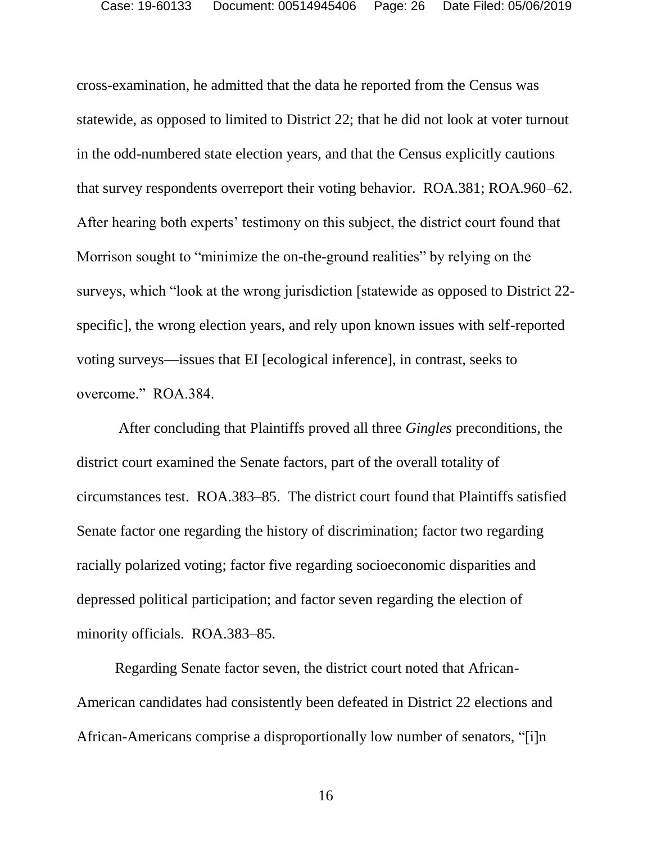cross-examination, he admitted that the data he reported from the Census was statewide, as opposed to limited to District 22; that he did not look at voter turnout in the odd-numbered state election years, and that the Census explicitly cautions that survey respondents overreport their voting behavior. ROA.381; ROA.960–62. After hearing both experts' testimony on this subject, the district court found that Morrison sought to "minimize the on-the-ground realities" by relying on the surveys, which "look at the wrong jurisdiction [statewide as opposed to District 22 specific], the wrong election years, and rely upon known issues with self-reported voting surveys—issues that EI [ecological inference], in contrast, seeks to overcome." ROA.384.

After concluding that Plaintiffs proved all three *Gingles* preconditions, the district court examined the Senate factors, part of the overall totality of circumstances test. ROA.383–85. The district court found that Plaintiffs satisfied Senate factor one regarding the history of discrimination; factor two regarding racially polarized voting; factor five regarding socioeconomic disparities and depressed political participation; and factor seven regarding the election of minority officials. ROA.383–85.

Regarding Senate factor seven, the district court noted that African-American candidates had consistently been defeated in District 22 elections and African-Americans comprise a disproportionally low number of senators, "[i]n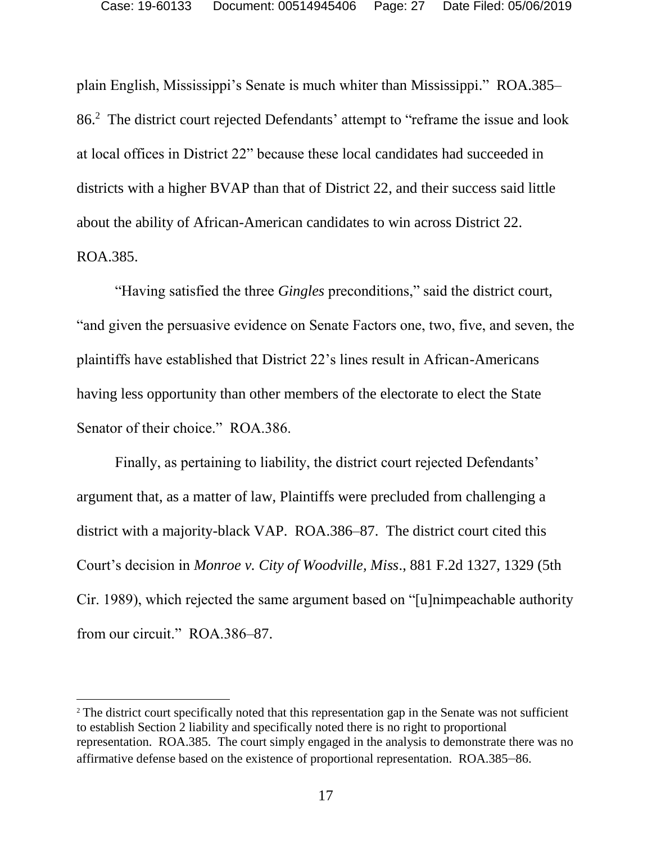plain English, Mississippi's Senate is much whiter than Mississippi." ROA.385– 86.<sup>2</sup> The district court rejected Defendants' attempt to "reframe the issue and look at local offices in District 22" because these local candidates had succeeded in districts with a higher BVAP than that of District 22, and their success said little about the ability of African-American candidates to win across District 22. ROA.385.

"Having satisfied the three *Gingles* preconditions," said the district court, "and given the persuasive evidence on Senate Factors one, two, five, and seven, the plaintiffs have established that District 22's lines result in African-Americans having less opportunity than other members of the electorate to elect the State Senator of their choice." ROA.386.

Finally, as pertaining to liability, the district court rejected Defendants' argument that, as a matter of law, Plaintiffs were precluded from challenging a district with a majority-black VAP. ROA.386–87. The district court cited this Court's decision in *Monroe v. City of Woodville, Miss*., 881 F.2d 1327, 1329 (5th Cir. 1989), which rejected the same argument based on "[u]nimpeachable authority from our circuit." ROA.386–87.

l

<sup>2</sup> The district court specifically noted that this representation gap in the Senate was not sufficient to establish Section 2 liability and specifically noted there is no right to proportional representation. ROA.385. The court simply engaged in the analysis to demonstrate there was no affirmative defense based on the existence of proportional representation. ROA.385–86.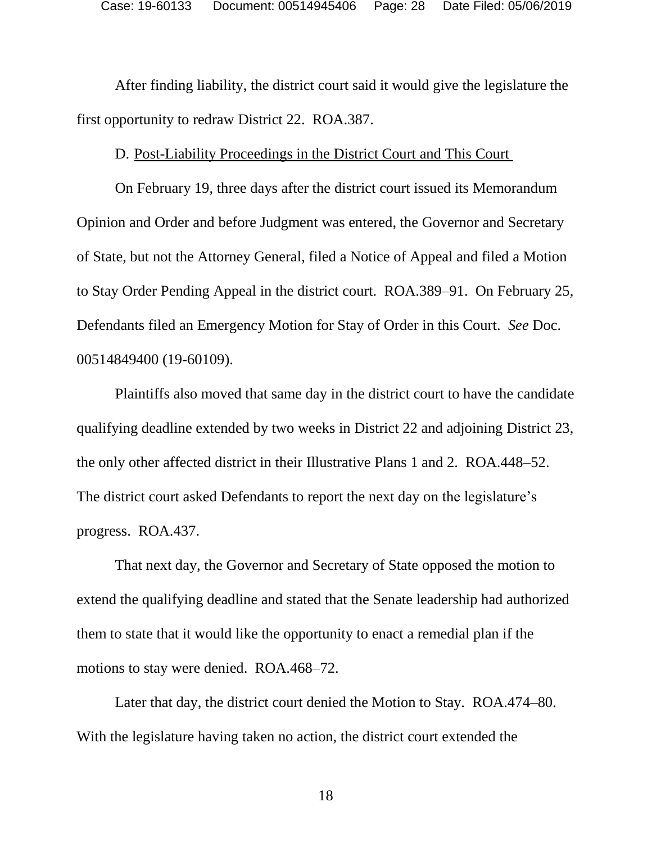After finding liability, the district court said it would give the legislature the first opportunity to redraw District 22. ROA.387.

#### D. Post-Liability Proceedings in the District Court and This Court

On February 19, three days after the district court issued its Memorandum Opinion and Order and before Judgment was entered, the Governor and Secretary of State, but not the Attorney General, filed a Notice of Appeal and filed a Motion to Stay Order Pending Appeal in the district court. ROA.389–91. On February 25, Defendants filed an Emergency Motion for Stay of Order in this Court. *See* Doc. 00514849400 (19-60109).

Plaintiffs also moved that same day in the district court to have the candidate qualifying deadline extended by two weeks in District 22 and adjoining District 23, the only other affected district in their Illustrative Plans 1 and 2. ROA.448–52. The district court asked Defendants to report the next day on the legislature's progress. ROA.437.

That next day, the Governor and Secretary of State opposed the motion to extend the qualifying deadline and stated that the Senate leadership had authorized them to state that it would like the opportunity to enact a remedial plan if the motions to stay were denied. ROA.468–72.

Later that day, the district court denied the Motion to Stay. ROA.474–80. With the legislature having taken no action, the district court extended the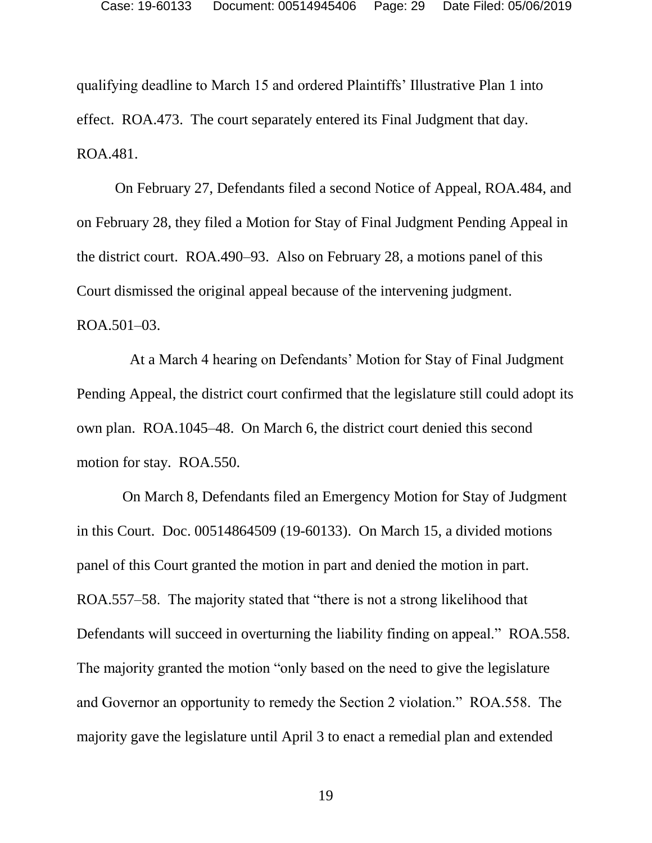qualifying deadline to March 15 and ordered Plaintiffs' Illustrative Plan 1 into effect. ROA.473. The court separately entered its Final Judgment that day. ROA.481.

On February 27, Defendants filed a second Notice of Appeal, ROA.484, and on February 28, they filed a Motion for Stay of Final Judgment Pending Appeal in the district court. ROA.490–93. Also on February 28, a motions panel of this Court dismissed the original appeal because of the intervening judgment. ROA.501–03.

 At a March 4 hearing on Defendants' Motion for Stay of Final Judgment Pending Appeal, the district court confirmed that the legislature still could adopt its own plan. ROA.1045–48. On March 6, the district court denied this second motion for stay. ROA.550.

 On March 8, Defendants filed an Emergency Motion for Stay of Judgment in this Court. Doc. 00514864509 (19-60133). On March 15, a divided motions panel of this Court granted the motion in part and denied the motion in part. ROA.557–58. The majority stated that "there is not a strong likelihood that Defendants will succeed in overturning the liability finding on appeal." ROA.558. The majority granted the motion "only based on the need to give the legislature and Governor an opportunity to remedy the Section 2 violation." ROA.558. The majority gave the legislature until April 3 to enact a remedial plan and extended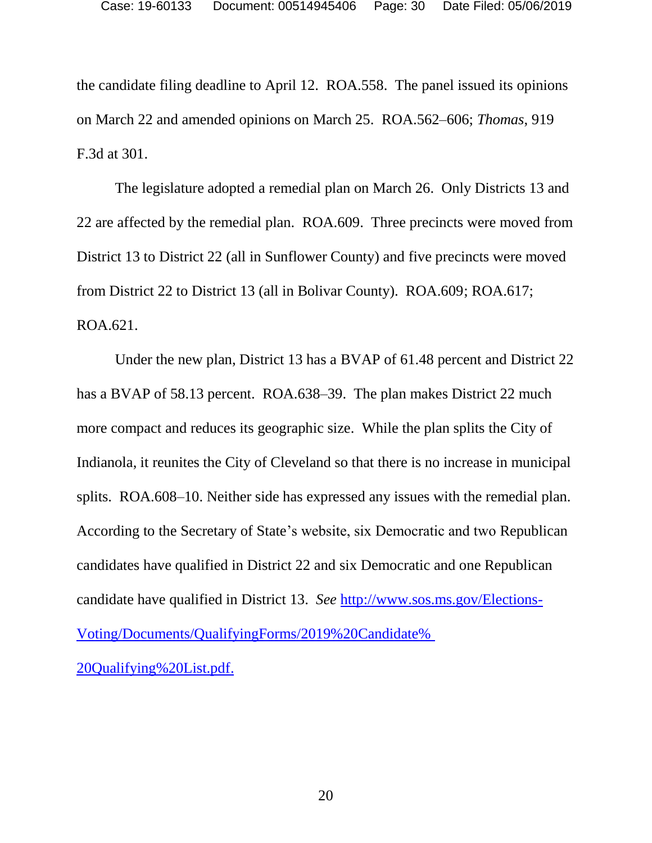the candidate filing deadline to April 12. ROA.558. The panel issued its opinions on March 22 and amended opinions on March 25. ROA.562–606; *Thomas*, 919 F.3d at 301.

The legislature adopted a remedial plan on March 26. Only Districts 13 and 22 are affected by the remedial plan. ROA.609. Three precincts were moved from District 13 to District 22 (all in Sunflower County) and five precincts were moved from District 22 to District 13 (all in Bolivar County). ROA.609; ROA.617; ROA.621.

Under the new plan, District 13 has a BVAP of 61.48 percent and District 22 has a BVAP of 58.13 percent. ROA.638–39. The plan makes District 22 much more compact and reduces its geographic size. While the plan splits the City of Indianola, it reunites the City of Cleveland so that there is no increase in municipal splits. ROA.608–10. Neither side has expressed any issues with the remedial plan. According to the Secretary of State's website, six Democratic and two Republican candidates have qualified in District 22 and six Democratic and one Republican candidate have qualified in District 13. *See* [http://www.sos.ms.gov/Elections-](www.sos.ms.gov/Elections-Voting/Documents/QualifyingForms/2019%20Candidate%25%2020Qualifying%20List.pdf)[Voting/Documents/QualifyingForms/2019%20Candidate%](www.sos.ms.gov/Elections-Voting/Documents/QualifyingForms/2019%20Candidate%25%2020Qualifying%20List.pdf)  [20Qualifying%20List.pdf.](www.sos.ms.gov/Elections-Voting/Documents/QualifyingForms/2019%20Candidate%25%2020Qualifying%20List.pdf)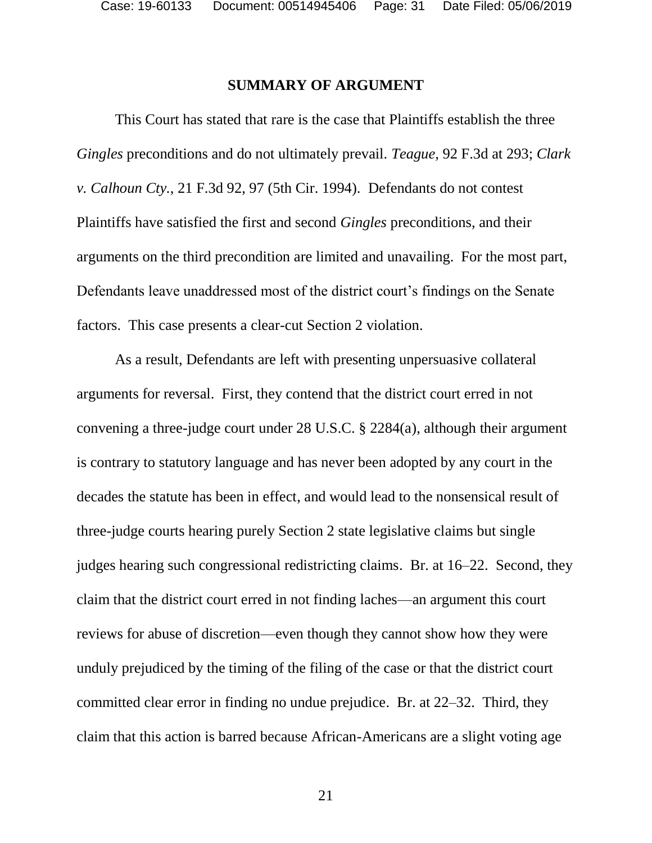#### **SUMMARY OF ARGUMENT**

This Court has stated that rare is the case that Plaintiffs establish the three *Gingles* preconditions and do not ultimately prevail. *Teague*, 92 F.3d at 293; *Clark v. Calhoun Cty.*, 21 F.3d 92, 97 (5th Cir. 1994). Defendants do not contest Plaintiffs have satisfied the first and second *Gingles* preconditions, and their arguments on the third precondition are limited and unavailing. For the most part, Defendants leave unaddressed most of the district court's findings on the Senate factors. This case presents a clear-cut Section 2 violation.

As a result, Defendants are left with presenting unpersuasive collateral arguments for reversal. First, they contend that the district court erred in not convening a three-judge court under 28 U.S.C. § 2284(a), although their argument is contrary to statutory language and has never been adopted by any court in the decades the statute has been in effect, and would lead to the nonsensical result of three-judge courts hearing purely Section 2 state legislative claims but single judges hearing such congressional redistricting claims. Br. at 16–22. Second, they claim that the district court erred in not finding laches—an argument this court reviews for abuse of discretion—even though they cannot show how they were unduly prejudiced by the timing of the filing of the case or that the district court committed clear error in finding no undue prejudice. Br. at 22–32. Third, they claim that this action is barred because African-Americans are a slight voting age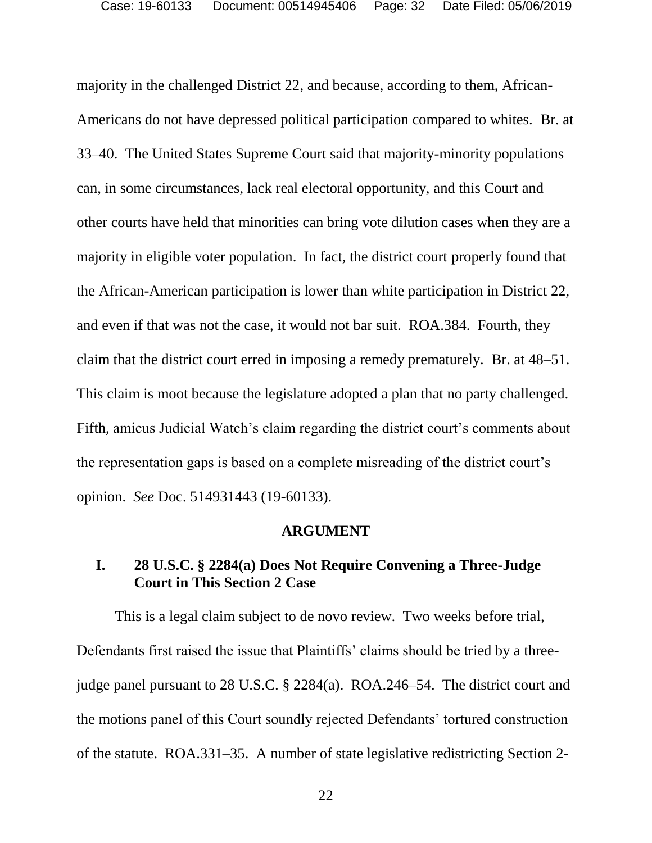majority in the challenged District 22, and because, according to them, African-Americans do not have depressed political participation compared to whites. Br. at 33–40. The United States Supreme Court said that majority-minority populations can, in some circumstances, lack real electoral opportunity, and this Court and other courts have held that minorities can bring vote dilution cases when they are a majority in eligible voter population. In fact, the district court properly found that the African-American participation is lower than white participation in District 22, and even if that was not the case, it would not bar suit. ROA.384. Fourth, they claim that the district court erred in imposing a remedy prematurely. Br. at 48–51. This claim is moot because the legislature adopted a plan that no party challenged. Fifth, amicus Judicial Watch's claim regarding the district court's comments about the representation gaps is based on a complete misreading of the district court's opinion. *See* Doc. 514931443 (19-60133).

#### **ARGUMENT**

# **I. 28 U.S.C. § 2284(a) Does Not Require Convening a Three-Judge Court in This Section 2 Case**

This is a legal claim subject to de novo review. Two weeks before trial, Defendants first raised the issue that Plaintiffs' claims should be tried by a threejudge panel pursuant to 28 U.S.C. § 2284(a). ROA.246–54. The district court and the motions panel of this Court soundly rejected Defendants' tortured construction of the statute. ROA.331–35. A number of state legislative redistricting Section 2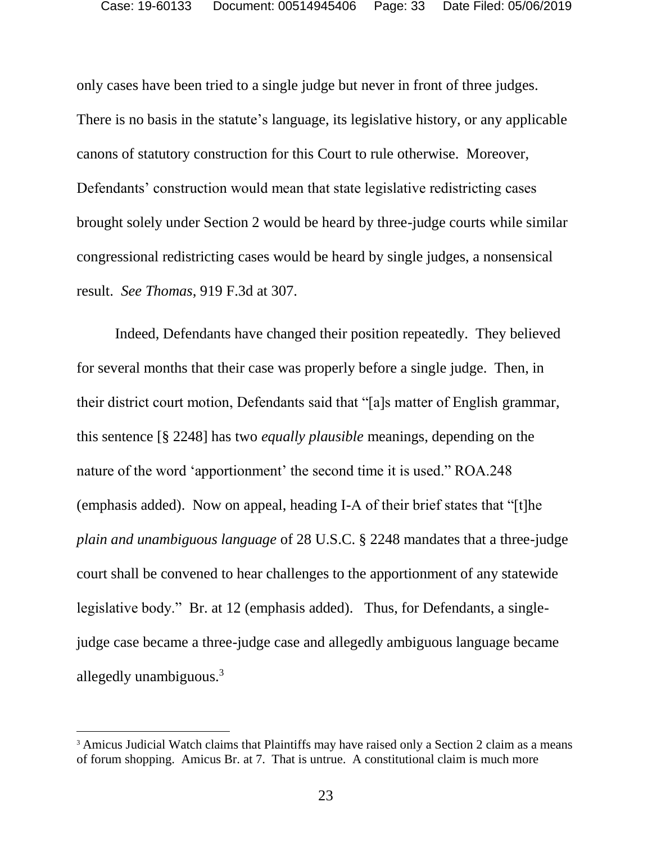only cases have been tried to a single judge but never in front of three judges. There is no basis in the statute's language, its legislative history, or any applicable canons of statutory construction for this Court to rule otherwise. Moreover, Defendants' construction would mean that state legislative redistricting cases brought solely under Section 2 would be heard by three-judge courts while similar congressional redistricting cases would be heard by single judges, a nonsensical result. *See Thomas*, 919 F.3d at 307.

Indeed, Defendants have changed their position repeatedly. They believed for several months that their case was properly before a single judge. Then, in their district court motion, Defendants said that "[a]s matter of English grammar, this sentence [§ 2248] has two *equally plausible* meanings, depending on the nature of the word 'apportionment' the second time it is used." ROA.248 (emphasis added). Now on appeal, heading I-A of their brief states that "[t]he *plain and unambiguous language* of 28 U.S.C. § 2248 mandates that a three-judge court shall be convened to hear challenges to the apportionment of any statewide legislative body." Br. at 12 (emphasis added). Thus, for Defendants, a singlejudge case became a three-judge case and allegedly ambiguous language became allegedly unambiguous.<sup>3</sup>

l

<sup>&</sup>lt;sup>3</sup> Amicus Judicial Watch claims that Plaintiffs may have raised only a Section 2 claim as a means of forum shopping. Amicus Br. at 7. That is untrue. A constitutional claim is much more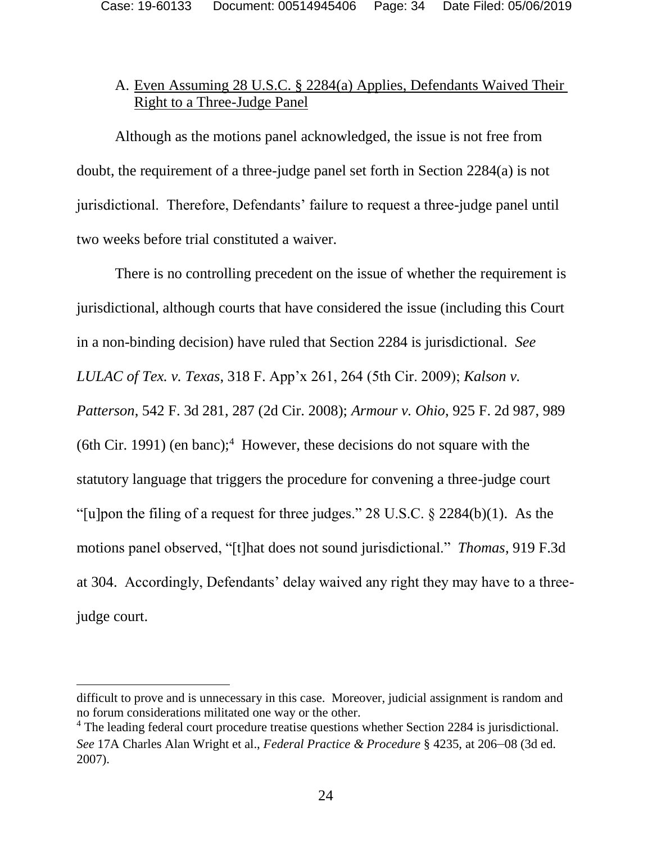# A. Even Assuming 28 U.S.C. § 2284(a) Applies, Defendants Waived Their Right to a Three-Judge Panel

Although as the motions panel acknowledged, the issue is not free from doubt, the requirement of a three-judge panel set forth in Section 2284(a) is not jurisdictional. Therefore, Defendants' failure to request a three-judge panel until two weeks before trial constituted a waiver.

There is no controlling precedent on the issue of whether the requirement is jurisdictional, although courts that have considered the issue (including this Court in a non-binding decision) have ruled that Section 2284 is jurisdictional. *See LULAC of Tex. v. Texas*, 318 F. App'x 261, 264 (5th Cir. 2009); *Kalson v. Patterson*, 542 F. 3d 281, 287 (2d Cir. 2008); *Armour v. Ohio*, 925 F. 2d 987, 989  $(6th Cir. 1991)$  (en banc);<sup>4</sup> However, these decisions do not square with the statutory language that triggers the procedure for convening a three-judge court "[u]pon the filing of a request for three judges."  $28 \text{ U.S.C.}$  §  $2284(b)(1)$ . As the motions panel observed, "[t]hat does not sound jurisdictional." *Thomas*, 919 F.3d at 304. Accordingly, Defendants' delay waived any right they may have to a threejudge court.

l

difficult to prove and is unnecessary in this case. Moreover, judicial assignment is random and no forum considerations militated one way or the other.

<sup>&</sup>lt;sup>4</sup> The leading federal court procedure treatise questions whether Section 2284 is jurisdictional. *See* 17A Charles Alan Wright et al., *Federal Practice & Procedure* § 4235, at 206–08 (3d ed. 2007).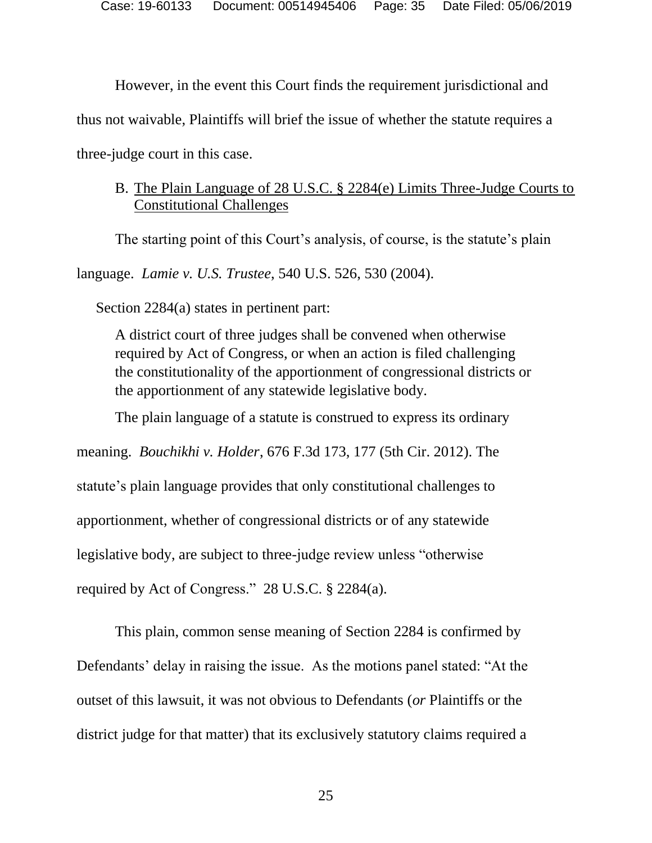However, in the event this Court finds the requirement jurisdictional and thus not waivable, Plaintiffs will brief the issue of whether the statute requires a

three-judge court in this case.

# B. The Plain Language of 28 U.S.C. § 2284(e) Limits Three-Judge Courts to Constitutional Challenges

The starting point of this Court's analysis, of course, is the statute's plain

language. *Lamie v. U.S. Trustee*, 540 U.S. 526, 530 (2004).

Section 2284(a) states in pertinent part:

A district court of three judges shall be convened when otherwise required by Act of Congress, or when an action is filed challenging the constitutionality of the apportionment of congressional districts or the apportionment of any statewide legislative body.

The plain language of a statute is construed to express its ordinary

meaning. *Bouchikhi v. Holder*, 676 F.3d 173, 177 (5th Cir. 2012). The

statute's plain language provides that only constitutional challenges to

apportionment, whether of congressional districts or of any statewide

legislative body, are subject to three-judge review unless "otherwise

required by Act of Congress." 28 U.S.C. § 2284(a).

This plain, common sense meaning of Section 2284 is confirmed by Defendants' delay in raising the issue. As the motions panel stated: "At the outset of this lawsuit, it was not obvious to Defendants (*or* Plaintiffs or the district judge for that matter) that its exclusively statutory claims required a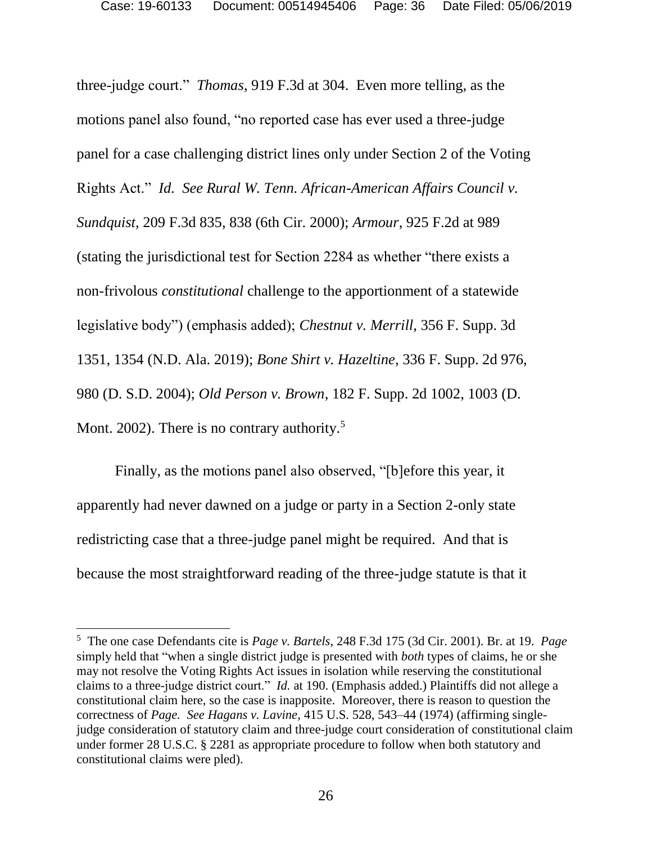three-judge court." *Thomas*, 919 F.3d at 304. Even more telling, as the motions panel also found, "no reported case has ever used a three-judge panel for a case challenging district lines only under Section 2 of the Voting Rights Act." *Id. See Rural W. Tenn. African-American Affairs Council v. Sundquist*, 209 F.3d 835, 838 (6th Cir. 2000); *Armour*, 925 F.2d at 989 (stating the jurisdictional test for Section 2284 as whether "there exists a non-frivolous *constitutional* challenge to the apportionment of a statewide legislative body") (emphasis added); *Chestnut v. Merrill*, 356 F. Supp. 3d 1351, 1354 (N.D. Ala. 2019); *Bone Shirt v. Hazeltine*, 336 F. Supp. 2d 976, 980 (D. S.D. 2004); *Old Person v. Brown*, 182 F. Supp. 2d 1002, 1003 (D. Mont. 2002). There is no contrary authority.<sup>5</sup>

Finally, as the motions panel also observed, "[b]efore this year, it apparently had never dawned on a judge or party in a Section 2-only state redistricting case that a three-judge panel might be required. And that is because the most straightforward reading of the three-judge statute is that it

<sup>5</sup> The one case Defendants cite is *Page v. Bartels*, 248 F.3d 175 (3d Cir. 2001). Br. at 19. *Page*  simply held that "when a single district judge is presented with *both* types of claims, he or she may not resolve the Voting Rights Act issues in isolation while reserving the constitutional claims to a three-judge district court." *Id.* at 190. (Emphasis added.) Plaintiffs did not allege a constitutional claim here, so the case is inapposite. Moreover, there is reason to question the correctness of *Page. See Hagans v. Lavine*, 415 U.S. 528, 543–44 (1974) (affirming singlejudge consideration of statutory claim and three-judge court consideration of constitutional claim under former 28 U.S.C. § 2281 as appropriate procedure to follow when both statutory and constitutional claims were pled).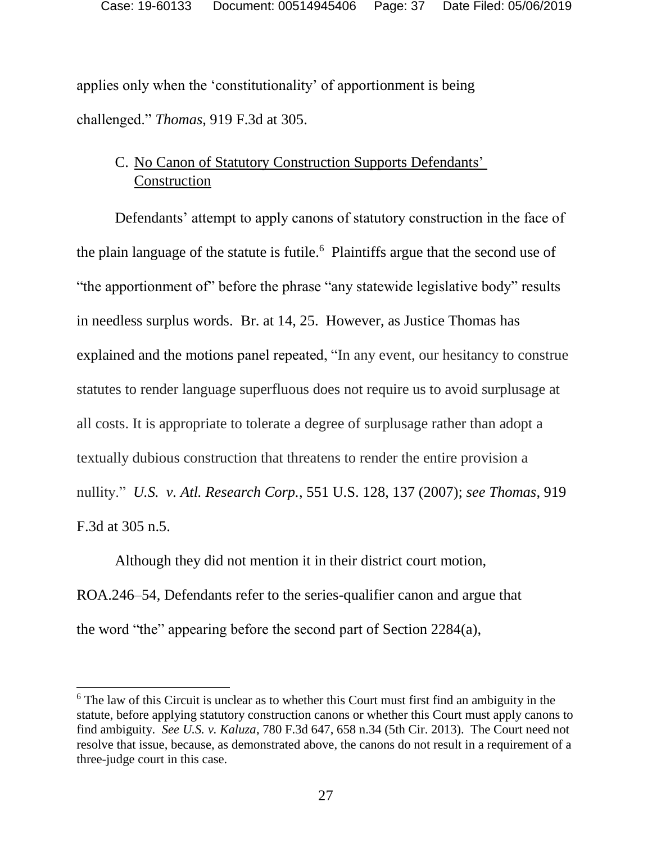applies only when the 'constitutionality' of apportionment is being challenged." *Thomas*, 919 F.3d at 305.

# C. No Canon of Statutory Construction Supports Defendants' **Construction**

Defendants' attempt to apply canons of statutory construction in the face of the plain language of the statute is futile. $6$  Plaintiffs argue that the second use of "the apportionment of" before the phrase "any statewide legislative body" results in needless surplus words. Br. at 14, 25. However, as Justice Thomas has explained and the motions panel repeated, "In any event, our hesitancy to construe statutes to render language superfluous does not require us to avoid surplusage at all costs. It is appropriate to tolerate a degree of surplusage rather than adopt a textually dubious construction that threatens to render the entire provision a nullity." *U.S. v. Atl. Research Corp.*, 551 U.S. 128, 137 (2007); *see Thomas*, 919 F.3d at 305 n.5.

Although they did not mention it in their district court motion, ROA.246–54, Defendants refer to the series-qualifier canon and argue that the word "the" appearing before the second part of Section 2284(a),

l

<sup>&</sup>lt;sup>6</sup> The law of this Circuit is unclear as to whether this Court must first find an ambiguity in the statute, before applying statutory construction canons or whether this Court must apply canons to find ambiguity. *See U.S. v. Kaluza*, 780 F.3d 647, 658 n.34 (5th Cir. 2013). The Court need not resolve that issue, because, as demonstrated above, the canons do not result in a requirement of a three-judge court in this case.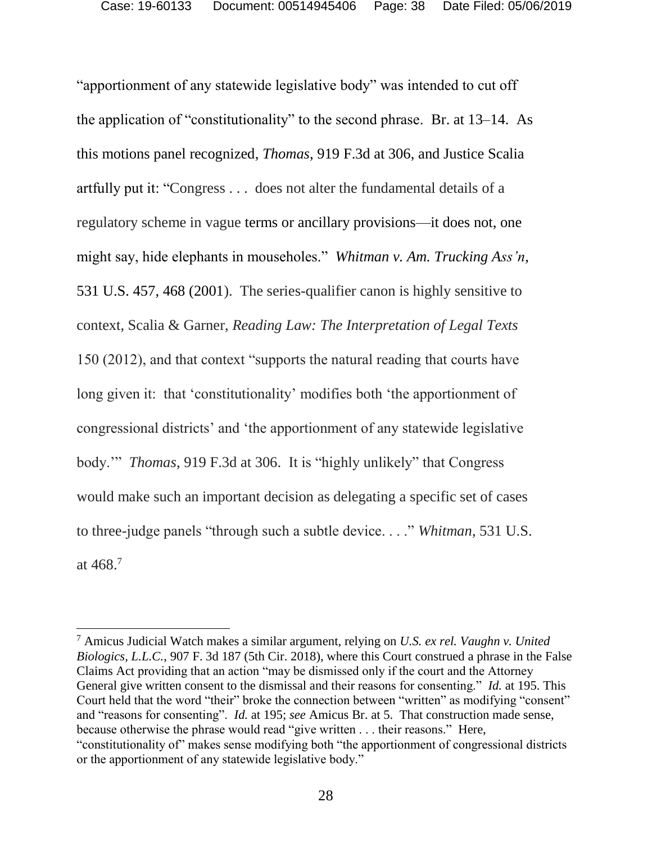"apportionment of any statewide legislative body" was intended to cut off the application of "constitutionality" to the second phrase. Br. at 13–14. As this motions panel recognized, *Thomas*, 919 F.3d at 306, and Justice Scalia artfully put it: "Congress . . . does not alter the fundamental details of a regulatory scheme in vague terms or ancillary provisions—it does not, one might say, hide elephants in mouseholes." *Whitman v. Am. Trucking Ass'n*, 531 U.S. 457, 468 (2001). The series-qualifier canon is highly sensitive to context, Scalia & Garner, *Reading Law: The Interpretation of Legal Texts* 150 (2012), and that context "supports the natural reading that courts have long given it: that 'constitutionality' modifies both 'the apportionment of congressional districts' and 'the apportionment of any statewide legislative body.'" *Thomas*, 919 F.3d at 306. It is "highly unlikely" that Congress would make such an important decision as delegating a specific set of cases to three-judge panels "through such a subtle device. . . ." *Whitman*, 531 U.S. at 468. 7

l

<sup>7</sup> Amicus Judicial Watch makes a similar argument, relying on *U.S. ex rel. Vaughn v. United Biologics, L.L.C.*, 907 F. 3d 187 (5th Cir. 2018), where this Court construed a phrase in the False Claims Act providing that an action "may be dismissed only if the court and the Attorney General give written consent to the dismissal and their reasons for consenting." *Id.* at 195. This Court held that the word "their" broke the connection between "written" as modifying "consent" and "reasons for consenting". *Id.* at 195; *see* Amicus Br. at 5. That construction made sense, because otherwise the phrase would read "give written . . . their reasons." Here, "constitutionality of" makes sense modifying both "the apportionment of congressional districts or the apportionment of any statewide legislative body."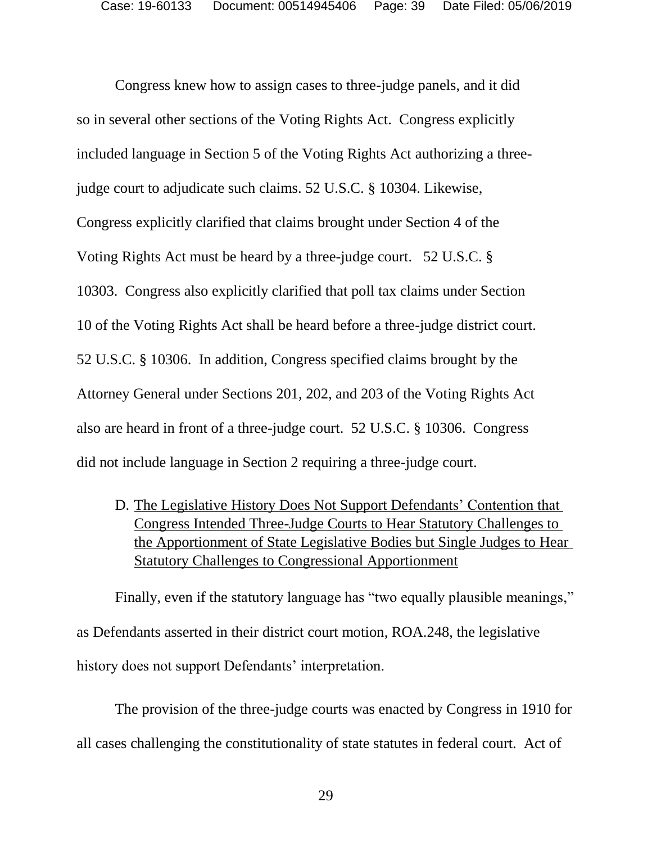Congress knew how to assign cases to three-judge panels, and it did so in several other sections of the Voting Rights Act. Congress explicitly included language in Section 5 of the Voting Rights Act authorizing a threejudge court to adjudicate such claims. 52 U.S.C. § 10304. Likewise, Congress explicitly clarified that claims brought under Section 4 of the Voting Rights Act must be heard by a three-judge court. 52 U.S.C. § 10303. Congress also explicitly clarified that poll tax claims under Section 10 of the Voting Rights Act shall be heard before a three-judge district court. 52 U.S.C. § 10306. In addition, Congress specified claims brought by the Attorney General under Sections 201, 202, and 203 of the Voting Rights Act also are heard in front of a three-judge court. 52 U.S.C. § 10306. Congress did not include language in Section 2 requiring a three-judge court.

D. The Legislative History Does Not Support Defendants' Contention that Congress Intended Three-Judge Courts to Hear Statutory Challenges to the Apportionment of State Legislative Bodies but Single Judges to Hear Statutory Challenges to Congressional Apportionment

Finally, even if the statutory language has "two equally plausible meanings," as Defendants asserted in their district court motion, ROA.248, the legislative history does not support Defendants' interpretation.

The provision of the three-judge courts was enacted by Congress in 1910 for all cases challenging the constitutionality of state statutes in federal court. Act of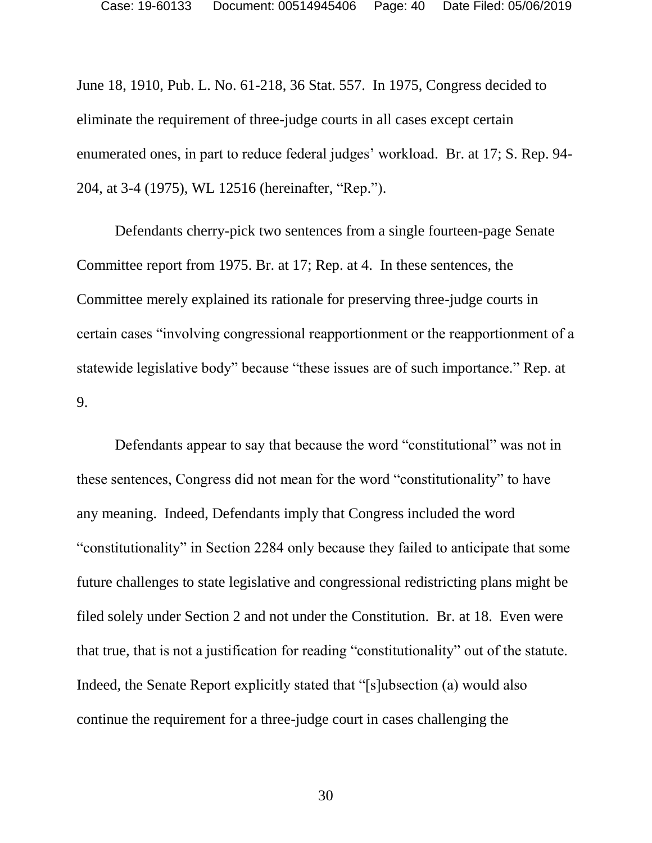June 18, 1910, Pub. L. No. 61-218, 36 Stat. 557. In 1975, Congress decided to eliminate the requirement of three-judge courts in all cases except certain enumerated ones, in part to reduce federal judges' workload. Br. at 17; S. Rep. 94- 204, at 3-4 (1975), WL 12516 (hereinafter, "Rep.").

Defendants cherry-pick two sentences from a single fourteen-page Senate Committee report from 1975. Br. at 17; Rep. at 4. In these sentences, the Committee merely explained its rationale for preserving three-judge courts in certain cases "involving congressional reapportionment or the reapportionment of a statewide legislative body" because "these issues are of such importance." Rep. at 9.

Defendants appear to say that because the word "constitutional" was not in these sentences, Congress did not mean for the word "constitutionality" to have any meaning. Indeed, Defendants imply that Congress included the word "constitutionality" in Section 2284 only because they failed to anticipate that some future challenges to state legislative and congressional redistricting plans might be filed solely under Section 2 and not under the Constitution. Br. at 18. Even were that true, that is not a justification for reading "constitutionality" out of the statute. Indeed, the Senate Report explicitly stated that "[s]ubsection (a) would also continue the requirement for a three-judge court in cases challenging the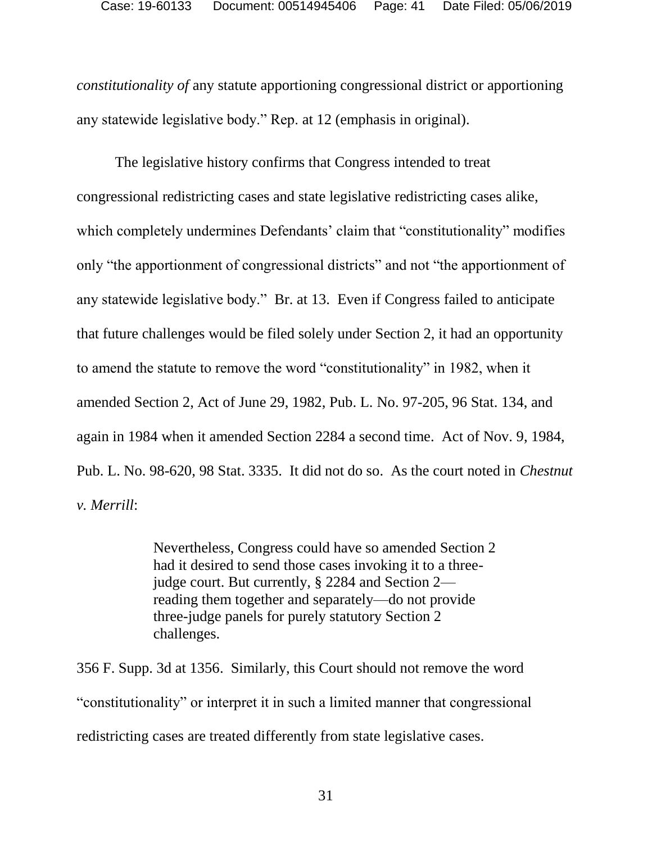*constitutionality of* any statute apportioning congressional district or apportioning any statewide legislative body." Rep. at 12 (emphasis in original).

The legislative history confirms that Congress intended to treat congressional redistricting cases and state legislative redistricting cases alike, which completely undermines Defendants' claim that "constitutionality" modifies only "the apportionment of congressional districts" and not "the apportionment of any statewide legislative body." Br. at 13. Even if Congress failed to anticipate that future challenges would be filed solely under Section 2, it had an opportunity to amend the statute to remove the word "constitutionality" in 1982, when it amended Section 2, Act of June 29, 1982, Pub. L. No. 97-205, 96 Stat. 134, and again in 1984 when it amended Section 2284 a second time. Act of Nov. 9, 1984, Pub. L. No. 98-620, 98 Stat. 3335. It did not do so. As the court noted in *Chestnut v. Merrill*:

> Nevertheless, Congress could have so amended Section 2 had it desired to send those cases invoking it to a threejudge court. But currently, § 2284 and Section 2 reading them together and separately—do not provide three-judge panels for purely statutory Section 2 challenges.

356 F. Supp. 3d at 1356. Similarly, this Court should not remove the word "constitutionality" or interpret it in such a limited manner that congressional redistricting cases are treated differently from state legislative cases.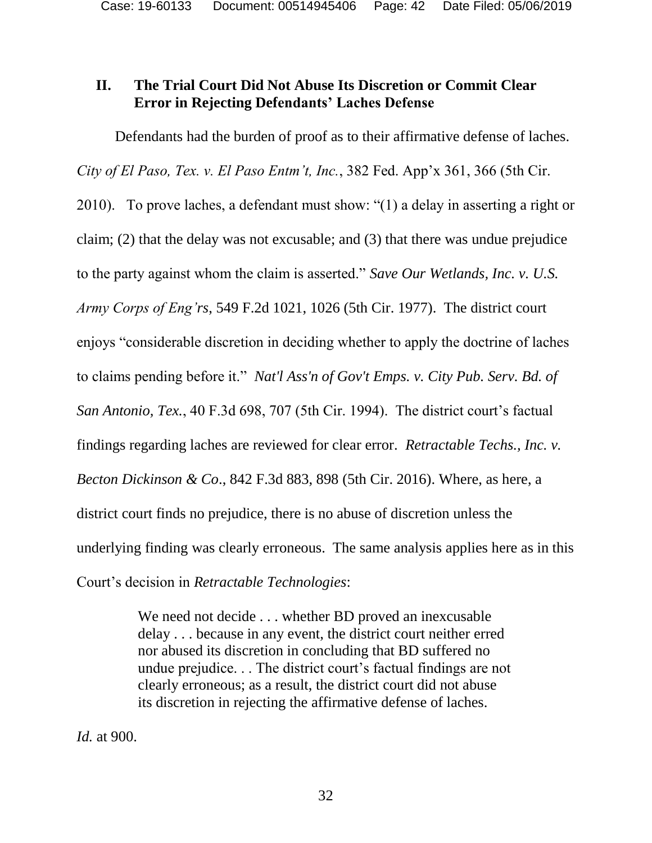# **II. The Trial Court Did Not Abuse Its Discretion or Commit Clear Error in Rejecting Defendants' Laches Defense**

Defendants had the burden of proof as to their affirmative defense of laches. *City of El Paso, Tex. v. El Paso Entm't, Inc.*, 382 Fed. App'x 361, 366 (5th Cir. 2010). To prove laches, a defendant must show: "(1) a delay in asserting a right or claim; (2) that the delay was not excusable; and (3) that there was undue prejudice to the party against whom the claim is asserted." *Save Our Wetlands, Inc. v. U.S. Army Corps of Eng'rs*, 549 F.2d 1021, 1026 (5th Cir. 1977). The district court enjoys "considerable discretion in deciding whether to apply the doctrine of laches to claims pending before it." *Nat'l Ass'n of Gov't Emps. v. City Pub. Serv. Bd. of San Antonio, Tex.*, 40 F.3d 698, 707 (5th Cir. 1994). The district court's factual findings regarding laches are reviewed for clear error. *Retractable Techs., Inc. v. Becton Dickinson & Co*., 842 F.3d 883, 898 (5th Cir. 2016). Where, as here, a district court finds no prejudice, there is no abuse of discretion unless the underlying finding was clearly erroneous. The same analysis applies here as in this Court's decision in *Retractable Technologies*:

> We need not decide . . . whether BD proved an inexcusable delay . . . because in any event, the district court neither erred nor abused its discretion in concluding that BD suffered no undue prejudice. . . The district court's factual findings are not clearly erroneous; as a result, the district court did not abuse its discretion in rejecting the affirmative defense of laches.

*Id.* at 900.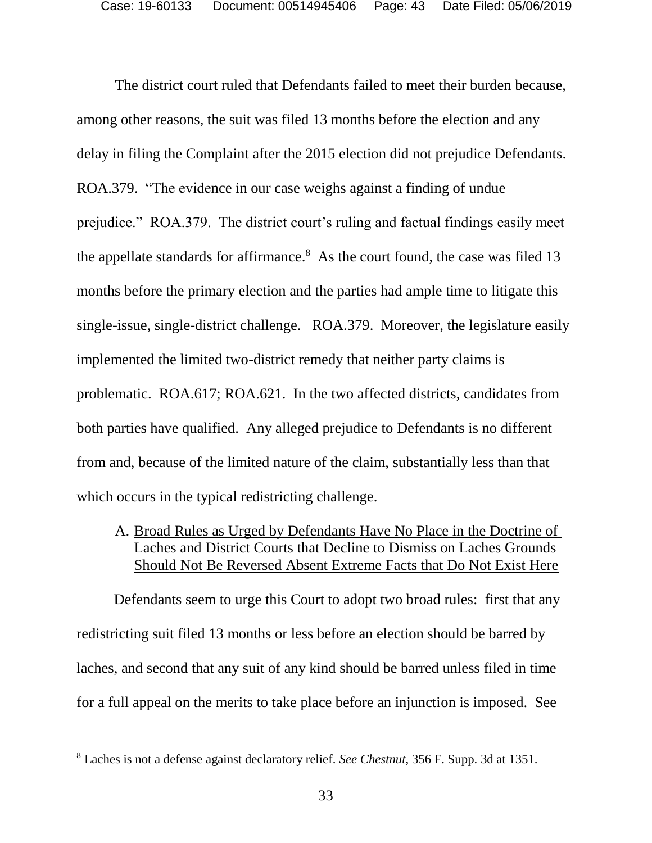The district court ruled that Defendants failed to meet their burden because, among other reasons, the suit was filed 13 months before the election and any delay in filing the Complaint after the 2015 election did not prejudice Defendants. ROA.379. "The evidence in our case weighs against a finding of undue prejudice." ROA.379. The district court's ruling and factual findings easily meet the appellate standards for affirmance. $8$  As the court found, the case was filed 13 months before the primary election and the parties had ample time to litigate this single-issue, single-district challenge. ROA.379. Moreover, the legislature easily implemented the limited two-district remedy that neither party claims is problematic. ROA.617; ROA.621. In the two affected districts, candidates from both parties have qualified. Any alleged prejudice to Defendants is no different from and, because of the limited nature of the claim, substantially less than that which occurs in the typical redistricting challenge.

A. Broad Rules as Urged by Defendants Have No Place in the Doctrine of Laches and District Courts that Decline to Dismiss on Laches Grounds Should Not Be Reversed Absent Extreme Facts that Do Not Exist Here

 Defendants seem to urge this Court to adopt two broad rules: first that any redistricting suit filed 13 months or less before an election should be barred by laches, and second that any suit of any kind should be barred unless filed in time for a full appeal on the merits to take place before an injunction is imposed. See

<sup>8</sup> Laches is not a defense against declaratory relief. *See Chestnut*, 356 F. Supp. 3d at 1351.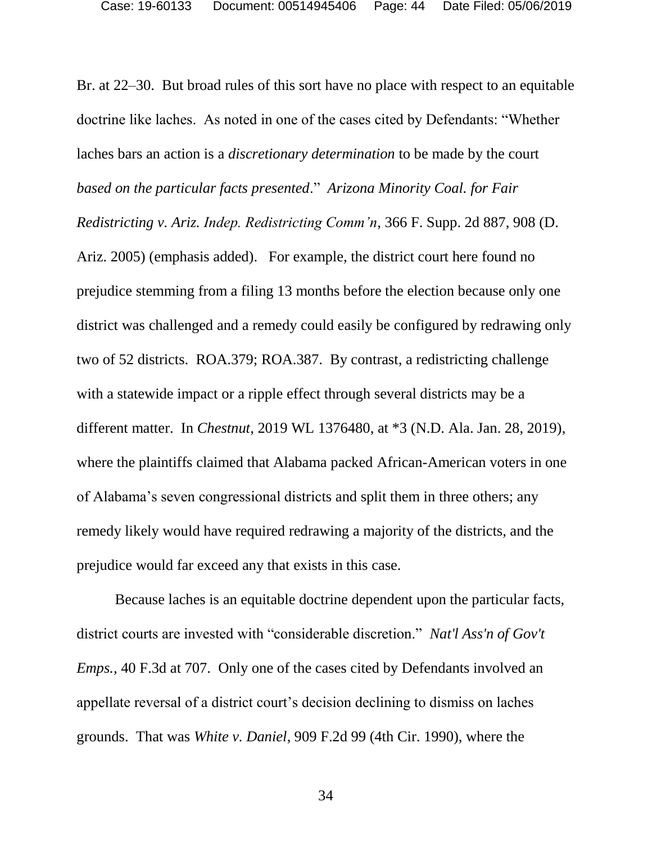Br. at 22–30. But broad rules of this sort have no place with respect to an equitable doctrine like laches. As noted in one of the cases cited by Defendants: "Whether laches bars an action is a *discretionary determination* to be made by the court *based on the particular facts presented*." *Arizona Minority Coal. for Fair Redistricting v. Ariz. Indep. Redistricting Comm'n*, 366 F. Supp. 2d 887, 908 (D. Ariz. 2005) (emphasis added). For example, the district court here found no prejudice stemming from a filing 13 months before the election because only one district was challenged and a remedy could easily be configured by redrawing only two of 52 districts. ROA.379; ROA.387. By contrast, a redistricting challenge with a statewide impact or a ripple effect through several districts may be a different matter. In *Chestnut*, 2019 WL 1376480, at \*3 (N.D. Ala. Jan. 28, 2019), where the plaintiffs claimed that Alabama packed African-American voters in one of Alabama's seven congressional districts and split them in three others; any remedy likely would have required redrawing a majority of the districts, and the prejudice would far exceed any that exists in this case.

Because laches is an equitable doctrine dependent upon the particular facts, district courts are invested with "considerable discretion." *Nat'l Ass'n of Gov't Emps.,* 40 F.3d at 707. Only one of the cases cited by Defendants involved an appellate reversal of a district court's decision declining to dismiss on laches grounds. That was *White v. Daniel*, 909 F.2d 99 (4th Cir. 1990), where the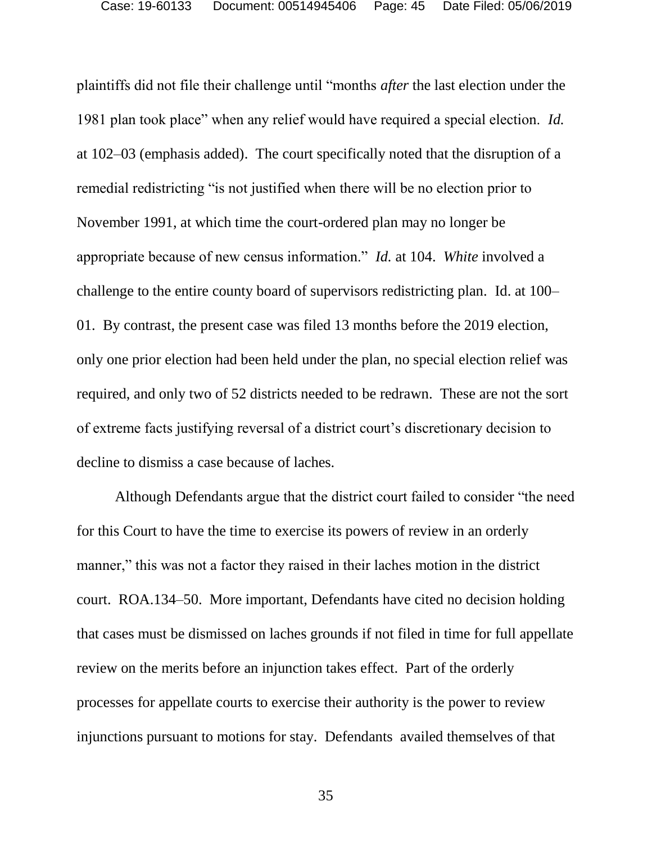plaintiffs did not file their challenge until "months *after* the last election under the 1981 plan took place" when any relief would have required a special election. *Id.* at 102–03 (emphasis added). The court specifically noted that the disruption of a remedial redistricting "is not justified when there will be no election prior to November 1991, at which time the court-ordered plan may no longer be appropriate because of new census information." *Id.* at 104. *White* involved a challenge to the entire county board of supervisors redistricting plan. Id. at 100– 01. By contrast, the present case was filed 13 months before the 2019 election, only one prior election had been held under the plan, no special election relief was required, and only two of 52 districts needed to be redrawn. These are not the sort of extreme facts justifying reversal of a district court's discretionary decision to decline to dismiss a case because of laches.

Although Defendants argue that the district court failed to consider "the need for this Court to have the time to exercise its powers of review in an orderly manner," this was not a factor they raised in their laches motion in the district court. ROA.134–50. More important, Defendants have cited no decision holding that cases must be dismissed on laches grounds if not filed in time for full appellate review on the merits before an injunction takes effect. Part of the orderly processes for appellate courts to exercise their authority is the power to review injunctions pursuant to motions for stay. Defendants availed themselves of that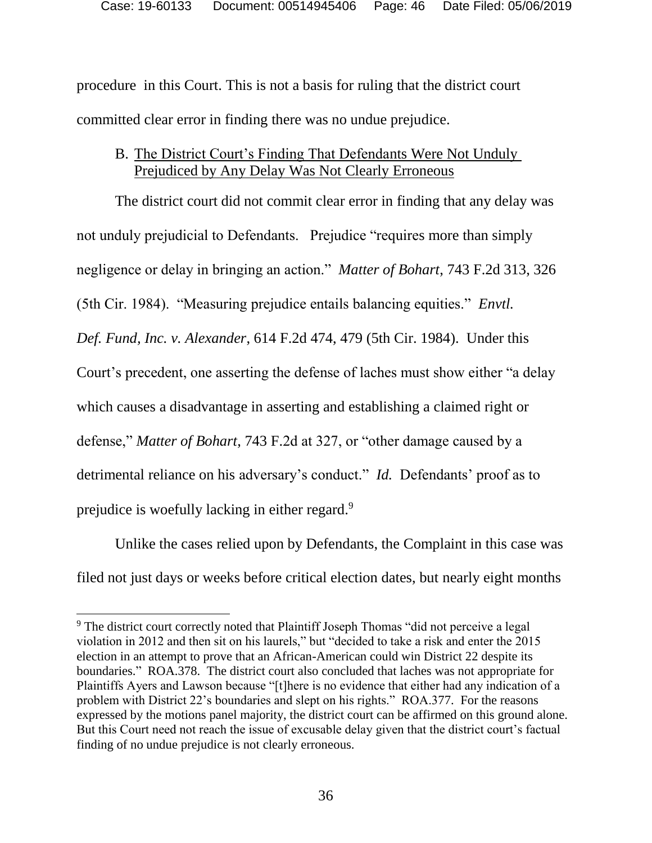procedure in this Court. This is not a basis for ruling that the district court committed clear error in finding there was no undue prejudice.

### B. The District Court's Finding That Defendants Were Not Unduly Prejudiced by Any Delay Was Not Clearly Erroneous

The district court did not commit clear error in finding that any delay was not unduly prejudicial to Defendants. Prejudice "requires more than simply negligence or delay in bringing an action." *Matter of Bohart*, 743 F.2d 313, 326 (5th Cir. 1984). "Measuring prejudice entails balancing equities." *Envtl. Def. Fund, Inc. v. Alexander*, 614 F.2d 474, 479 (5th Cir. 1984). Under this Court's precedent, one asserting the defense of laches must show either "a delay which causes a disadvantage in asserting and establishing a claimed right or defense," *Matter of Bohart*, 743 F.2d at 327, or "other damage caused by a detrimental reliance on his adversary's conduct." *Id.* Defendants' proof as to prejudice is woefully lacking in either regard.<sup>9</sup>

Unlike the cases relied upon by Defendants, the Complaint in this case was filed not just days or weeks before critical election dates, but nearly eight months

<sup>&</sup>lt;sup>9</sup> The district court correctly noted that Plaintiff Joseph Thomas "did not perceive a legal violation in 2012 and then sit on his laurels," but "decided to take a risk and enter the 2015 election in an attempt to prove that an African-American could win District 22 despite its boundaries." ROA.378. The district court also concluded that laches was not appropriate for Plaintiffs Ayers and Lawson because "[t]here is no evidence that either had any indication of a problem with District 22's boundaries and slept on his rights." ROA.377. For the reasons expressed by the motions panel majority, the district court can be affirmed on this ground alone. But this Court need not reach the issue of excusable delay given that the district court's factual finding of no undue prejudice is not clearly erroneous.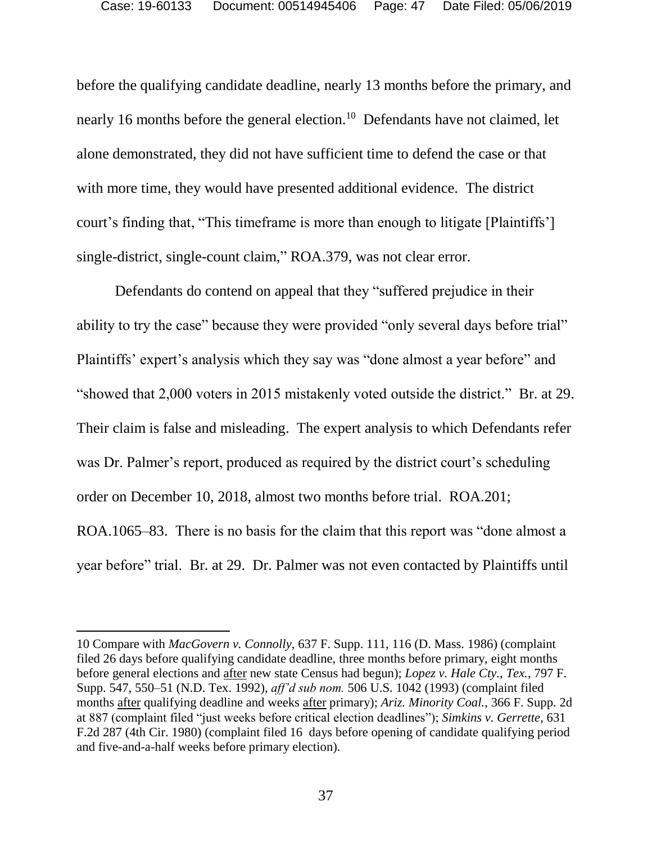before the qualifying candidate deadline, nearly 13 months before the primary, and nearly 16 months before the general election.<sup>10</sup> Defendants have not claimed, let alone demonstrated, they did not have sufficient time to defend the case or that with more time, they would have presented additional evidence. The district court's finding that, "This timeframe is more than enough to litigate [Plaintiffs'] single-district, single-count claim," ROA.379, was not clear error.

Defendants do contend on appeal that they "suffered prejudice in their ability to try the case" because they were provided "only several days before trial" Plaintiffs' expert's analysis which they say was "done almost a year before" and "showed that 2,000 voters in 2015 mistakenly voted outside the district." Br. at 29. Their claim is false and misleading. The expert analysis to which Defendants refer was Dr. Palmer's report, produced as required by the district court's scheduling order on December 10, 2018, almost two months before trial. ROA.201; ROA.1065–83. There is no basis for the claim that this report was "done almost a year before" trial. Br. at 29. Dr. Palmer was not even contacted by Plaintiffs until

<sup>10</sup> Compare with *MacGovern v. Connolly*, 637 F. Supp. 111, 116 (D. Mass. 1986) (complaint filed 26 days before qualifying candidate deadline, three months before primary, eight months before general elections and after new state Census had begun); *Lopez v. Hale Cty., Tex.*, 797 F. Supp. 547, 550–51 (N.D. Tex. 1992), *aff'd sub nom.* 506 U.S. 1042 (1993) (complaint filed months after qualifying deadline and weeks after primary); *Ariz. Minority Coal.*, 366 F. Supp. 2d at 887 (complaint filed "just weeks before critical election deadlines"); *Simkins v. Gerrette*, 631 F.2d 287 (4th Cir. 1980) (complaint filed 16 days before opening of candidate qualifying period and five-and-a-half weeks before primary election).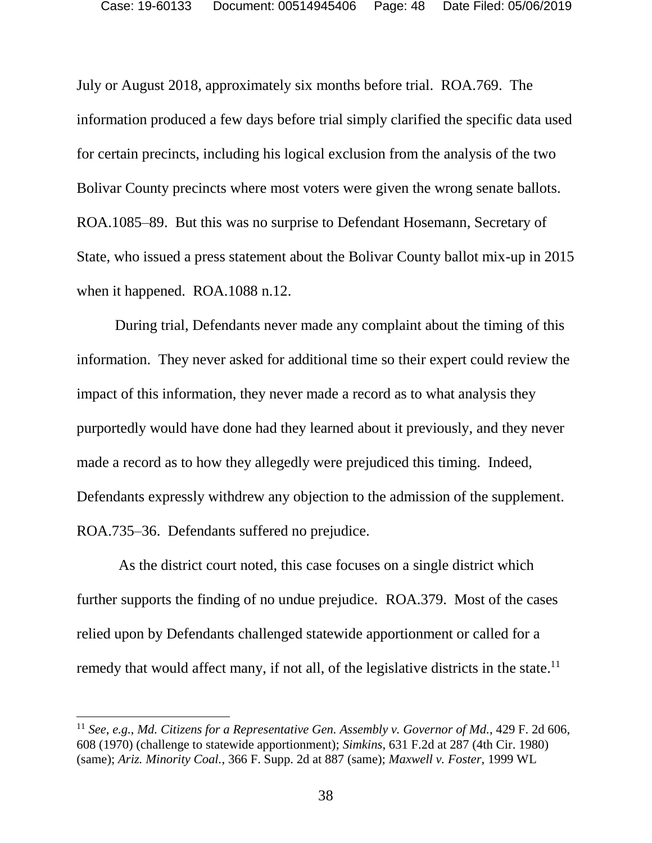July or August 2018, approximately six months before trial. ROA.769. The information produced a few days before trial simply clarified the specific data used for certain precincts, including his logical exclusion from the analysis of the two Bolivar County precincts where most voters were given the wrong senate ballots. ROA.1085–89. But this was no surprise to Defendant Hosemann, Secretary of State, who issued a press statement about the Bolivar County ballot mix-up in 2015 when it happened. ROA.1088 n.12.

During trial, Defendants never made any complaint about the timing of this information. They never asked for additional time so their expert could review the impact of this information, they never made a record as to what analysis they purportedly would have done had they learned about it previously, and they never made a record as to how they allegedly were prejudiced this timing. Indeed, Defendants expressly withdrew any objection to the admission of the supplement. ROA.735–36. Defendants suffered no prejudice.

As the district court noted, this case focuses on a single district which further supports the finding of no undue prejudice. ROA.379. Most of the cases relied upon by Defendants challenged statewide apportionment or called for a remedy that would affect many, if not all, of the legislative districts in the state.<sup>11</sup>

<sup>11</sup> *See*, *e.g.*, *Md. Citizens for a Representative Gen. Assembly v. Governor of Md.*, 429 F. 2d 606, 608 (1970) (challenge to statewide apportionment); *Simkins*, 631 F.2d at 287 (4th Cir. 1980) (same); *Ariz. Minority Coal.*, 366 F. Supp. 2d at 887 (same); *Maxwell v. Foster*, 1999 WL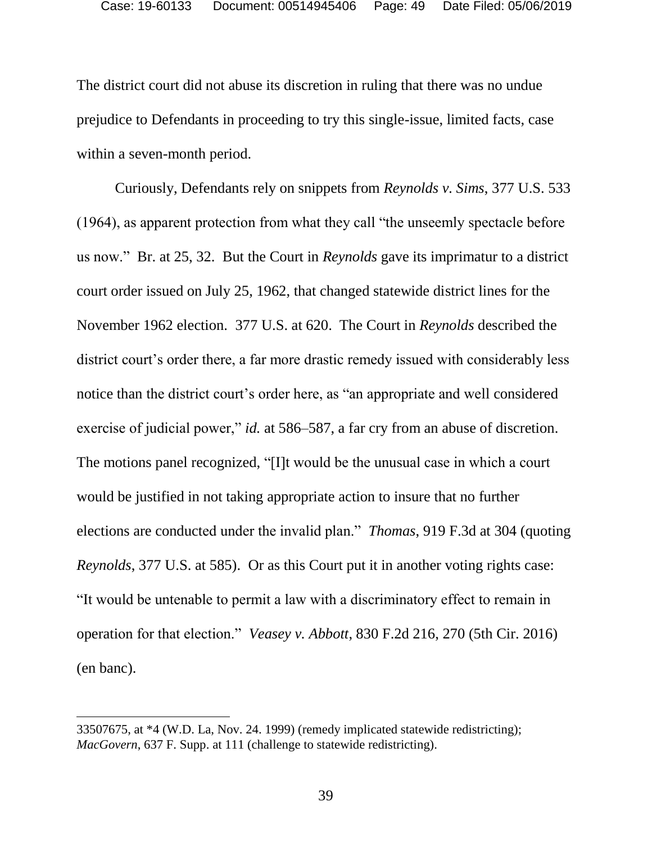The district court did not abuse its discretion in ruling that there was no undue prejudice to Defendants in proceeding to try this single-issue, limited facts, case within a seven-month period.

Curiously, Defendants rely on snippets from *Reynolds v. Sims*, 377 U.S. 533 (1964), as apparent protection from what they call "the unseemly spectacle before us now." Br. at 25, 32. But the Court in *Reynolds* gave its imprimatur to a district court order issued on July 25, 1962, that changed statewide district lines for the November 1962 election. 377 U.S. at 620. The Court in *Reynolds* described the district court's order there, a far more drastic remedy issued with considerably less notice than the district court's order here, as "an appropriate and well considered exercise of judicial power," *id.* at 586–587, a far cry from an abuse of discretion. The motions panel recognized, "[I]t would be the unusual case in which a court would be justified in not taking appropriate action to insure that no further elections are conducted under the invalid plan." *Thomas*, 919 F.3d at 304 (quoting *Reynolds*, 377 U.S. at 585). Or as this Court put it in another voting rights case: "It would be untenable to permit a law with a discriminatory effect to remain in operation for that election." *Veasey v. Abbott*, 830 F.2d 216, 270 (5th Cir. 2016) (en banc).

l

<sup>33507675,</sup> at \*4 (W.D. La, Nov. 24. 1999) (remedy implicated statewide redistricting); *MacGovern*, 637 F. Supp. at 111 (challenge to statewide redistricting).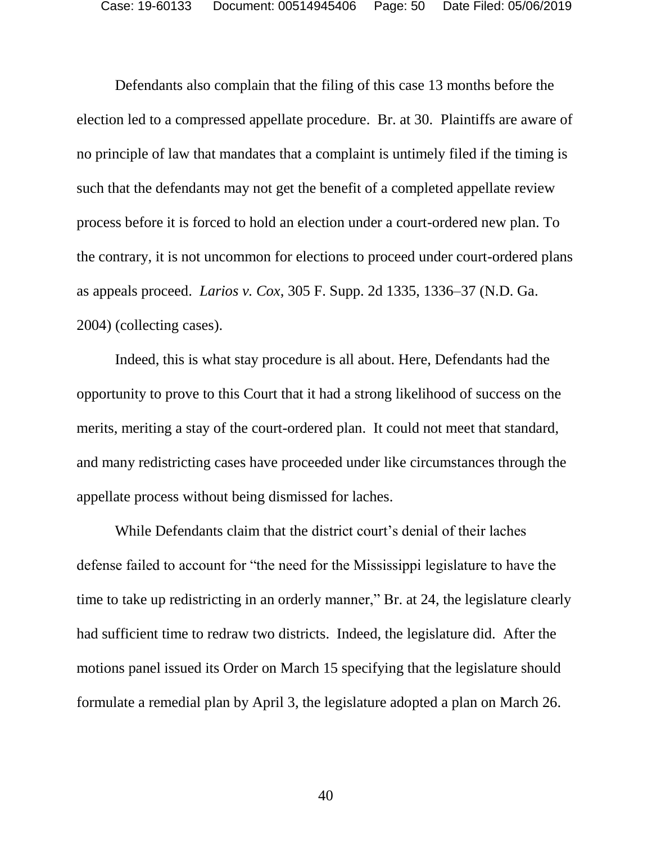Defendants also complain that the filing of this case 13 months before the election led to a compressed appellate procedure. Br. at 30. Plaintiffs are aware of no principle of law that mandates that a complaint is untimely filed if the timing is such that the defendants may not get the benefit of a completed appellate review process before it is forced to hold an election under a court-ordered new plan. To the contrary, it is not uncommon for elections to proceed under court-ordered plans as appeals proceed. *Larios v. Cox*, 305 F. Supp. 2d 1335, 1336–37 (N.D. Ga. 2004) (collecting cases).

Indeed, this is what stay procedure is all about. Here, Defendants had the opportunity to prove to this Court that it had a strong likelihood of success on the merits, meriting a stay of the court-ordered plan. It could not meet that standard, and many redistricting cases have proceeded under like circumstances through the appellate process without being dismissed for laches.

While Defendants claim that the district court's denial of their laches defense failed to account for "the need for the Mississippi legislature to have the time to take up redistricting in an orderly manner," Br. at 24, the legislature clearly had sufficient time to redraw two districts. Indeed, the legislature did. After the motions panel issued its Order on March 15 specifying that the legislature should formulate a remedial plan by April 3, the legislature adopted a plan on March 26.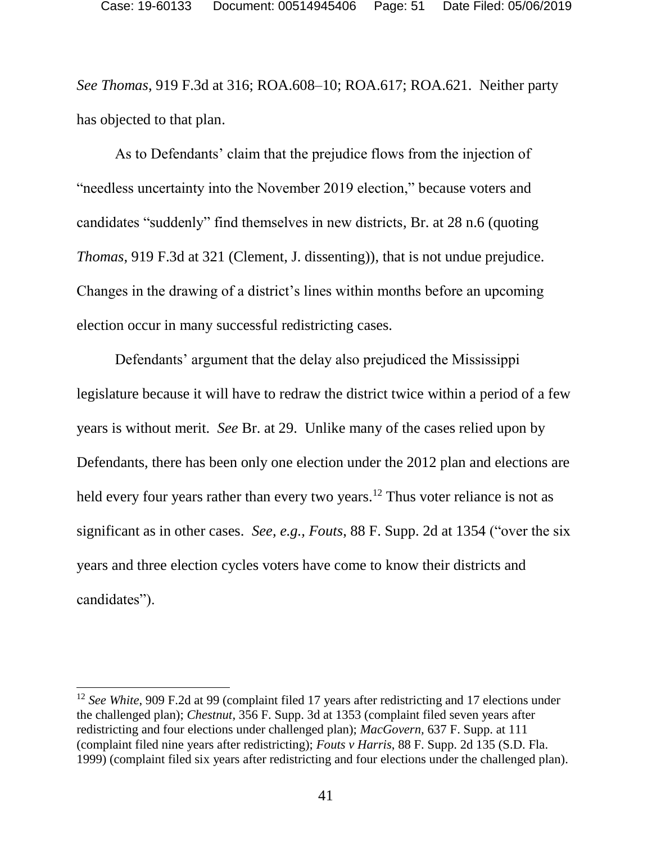*See Thomas*, 919 F.3d at 316; ROA.608–10; ROA.617; ROA.621. Neither party has objected to that plan.

As to Defendants' claim that the prejudice flows from the injection of "needless uncertainty into the November 2019 election," because voters and candidates "suddenly" find themselves in new districts, Br. at 28 n.6 (quoting *Thomas*, 919 F.3d at 321 (Clement, J. dissenting)), that is not undue prejudice. Changes in the drawing of a district's lines within months before an upcoming election occur in many successful redistricting cases.

Defendants' argument that the delay also prejudiced the Mississippi legislature because it will have to redraw the district twice within a period of a few years is without merit. *See* Br. at 29. Unlike many of the cases relied upon by Defendants, there has been only one election under the 2012 plan and elections are held every four years rather than every two years.<sup>12</sup> Thus voter reliance is not as significant as in other cases. *See, e.g., Fouts*, 88 F. Supp. 2d at 1354 ("over the six years and three election cycles voters have come to know their districts and candidates").

<sup>&</sup>lt;sup>12</sup> *See White*, 909 F.2d at 99 (complaint filed 17 years after redistricting and 17 elections under the challenged plan); *Chestnut*, 356 F. Supp. 3d at 1353 (complaint filed seven years after redistricting and four elections under challenged plan); *MacGovern,* 637 F. Supp. at 111 (complaint filed nine years after redistricting); *Fouts v Harris*, 88 F. Supp. 2d 135 (S.D. Fla. 1999) (complaint filed six years after redistricting and four elections under the challenged plan).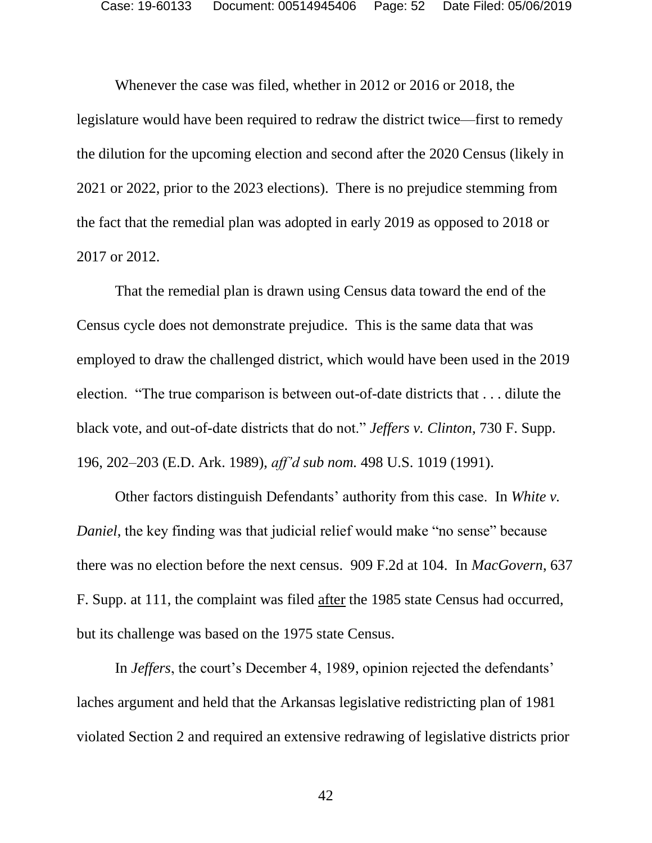Whenever the case was filed, whether in 2012 or 2016 or 2018, the legislature would have been required to redraw the district twice—first to remedy the dilution for the upcoming election and second after the 2020 Census (likely in 2021 or 2022, prior to the 2023 elections). There is no prejudice stemming from the fact that the remedial plan was adopted in early 2019 as opposed to 2018 or 2017 or 2012.

That the remedial plan is drawn using Census data toward the end of the Census cycle does not demonstrate prejudice. This is the same data that was employed to draw the challenged district, which would have been used in the 2019 election. "The true comparison is between out-of-date districts that . . . dilute the black vote, and out-of-date districts that do not." *Jeffers v. Clinton*, 730 F. Supp. 196, 202–203 (E.D. Ark. 1989), *aff'd sub nom.* 498 U.S. 1019 (1991).

Other factors distinguish Defendants' authority from this case. In *White v. Daniel*, the key finding was that judicial relief would make "no sense" because there was no election before the next census. 909 F.2d at 104. In *MacGovern*, 637 F. Supp. at 111, the complaint was filed after the 1985 state Census had occurred, but its challenge was based on the 1975 state Census.

In *Jeffers*, the court's December 4, 1989, opinion rejected the defendants' laches argument and held that the Arkansas legislative redistricting plan of 1981 violated Section 2 and required an extensive redrawing of legislative districts prior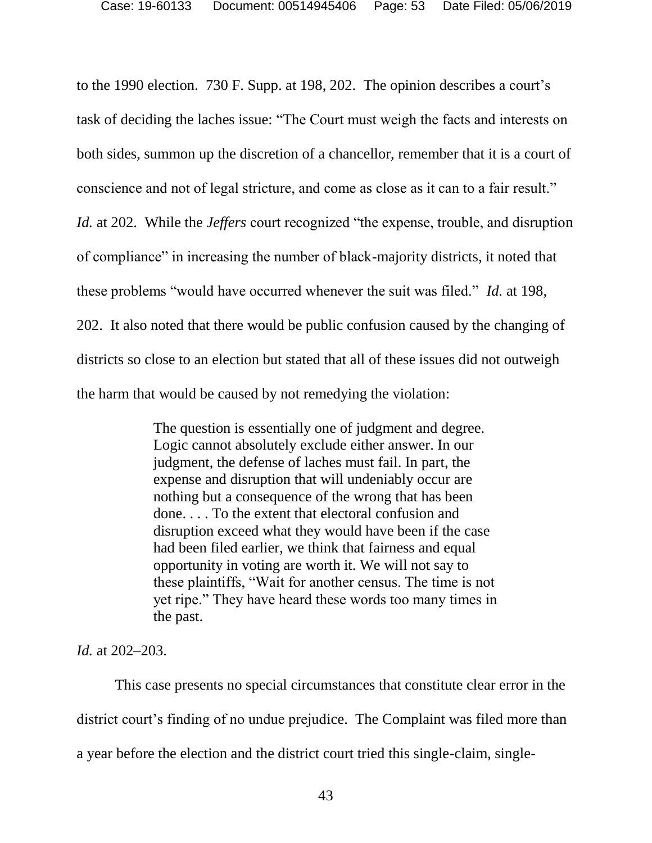to the 1990 election. 730 F. Supp. at 198, 202. The opinion describes a court's task of deciding the laches issue: "The Court must weigh the facts and interests on both sides, summon up the discretion of a chancellor, remember that it is a court of conscience and not of legal stricture, and come as close as it can to a fair result." *Id.* at 202. While the *Jeffers* court recognized "the expense, trouble, and disruption of compliance" in increasing the number of black-majority districts, it noted that these problems "would have occurred whenever the suit was filed." *Id.* at 198, 202. It also noted that there would be public confusion caused by the changing of districts so close to an election but stated that all of these issues did not outweigh the harm that would be caused by not remedying the violation:

> The question is essentially one of judgment and degree. Logic cannot absolutely exclude either answer. In our judgment, the defense of laches must fail. In part, the expense and disruption that will undeniably occur are nothing but a consequence of the wrong that has been done. . . . To the extent that electoral confusion and disruption exceed what they would have been if the case had been filed earlier, we think that fairness and equal opportunity in voting are worth it. We will not say to these plaintiffs, "Wait for another census. The time is not yet ripe." They have heard these words too many times in the past.

*Id.* at 202–203.

This case presents no special circumstances that constitute clear error in the district court's finding of no undue prejudice. The Complaint was filed more than a year before the election and the district court tried this single-claim, single-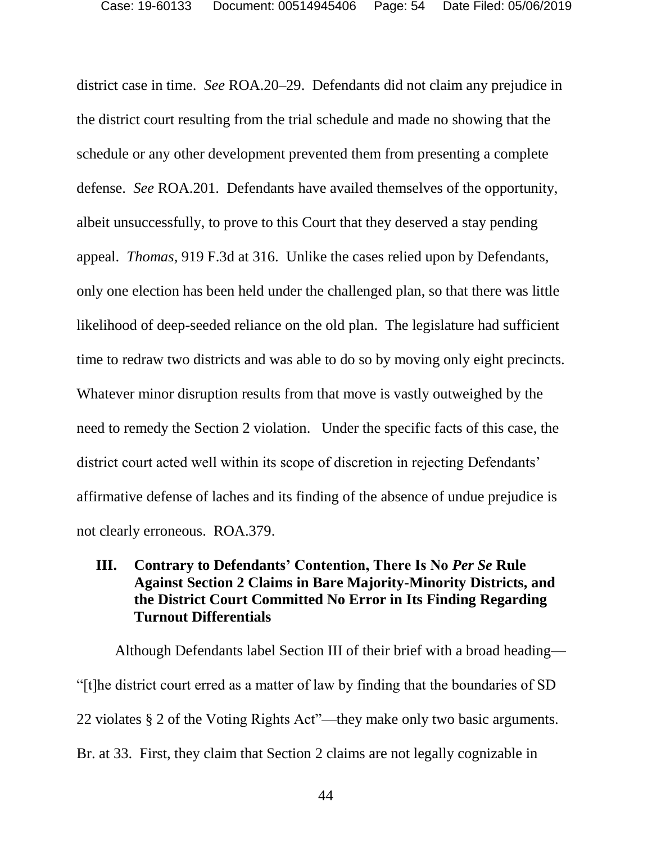district case in time. *See* ROA.20–29. Defendants did not claim any prejudice in the district court resulting from the trial schedule and made no showing that the schedule or any other development prevented them from presenting a complete defense. *See* ROA.201. Defendants have availed themselves of the opportunity, albeit unsuccessfully, to prove to this Court that they deserved a stay pending appeal. *Thomas*, 919 F.3d at 316. Unlike the cases relied upon by Defendants, only one election has been held under the challenged plan, so that there was little likelihood of deep-seeded reliance on the old plan. The legislature had sufficient time to redraw two districts and was able to do so by moving only eight precincts. Whatever minor disruption results from that move is vastly outweighed by the need to remedy the Section 2 violation. Under the specific facts of this case, the district court acted well within its scope of discretion in rejecting Defendants' affirmative defense of laches and its finding of the absence of undue prejudice is not clearly erroneous. ROA.379.

# **III. Contrary to Defendants' Contention, There Is No** *Per Se* **Rule Against Section 2 Claims in Bare Majority-Minority Districts, and the District Court Committed No Error in Its Finding Regarding Turnout Differentials**

Although Defendants label Section III of their brief with a broad heading— "[t]he district court erred as a matter of law by finding that the boundaries of SD 22 violates § 2 of the Voting Rights Act"—they make only two basic arguments. Br. at 33. First, they claim that Section 2 claims are not legally cognizable in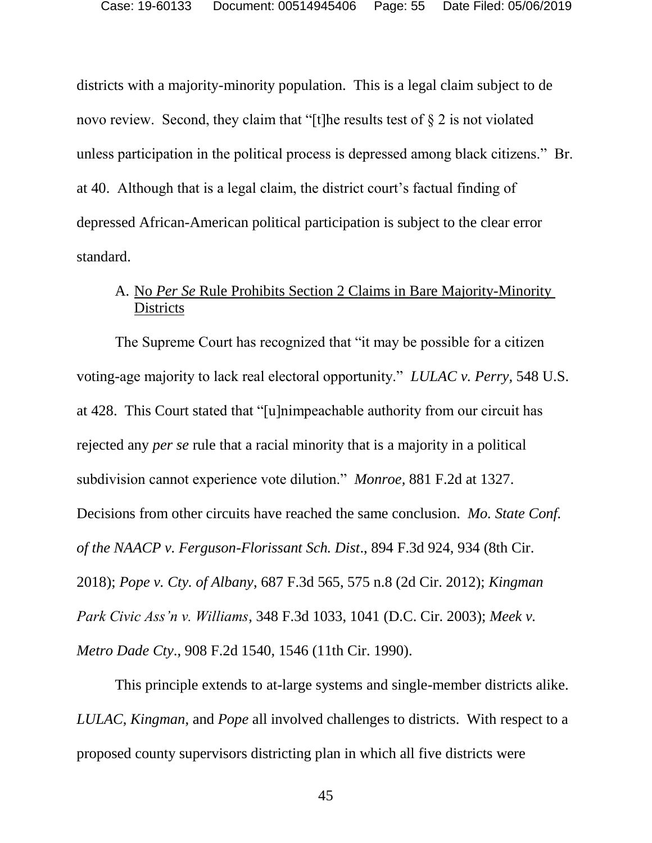districts with a majority-minority population. This is a legal claim subject to de novo review. Second, they claim that "[t]he results test of § 2 is not violated unless participation in the political process is depressed among black citizens." Br. at 40. Although that is a legal claim, the district court's factual finding of depressed African-American political participation is subject to the clear error standard.

# A. No *Per Se* Rule Prohibits Section 2 Claims in Bare Majority-Minority **Districts**

The Supreme Court has recognized that "it may be possible for a citizen voting-age majority to lack real electoral opportunity." *LULAC v. Perry,* 548 U.S. at 428. This Court stated that "[u]nimpeachable authority from our circuit has rejected any *per se* rule that a racial minority that is a majority in a political subdivision cannot experience vote dilution." *Monroe,* 881 F.2d at 1327. Decisions from other circuits have reached the same conclusion. *Mo. State Conf. of the NAACP v. Ferguson-Florissant Sch. Dist*., 894 F.3d 924, 934 (8th Cir. 2018); *Pope v. Cty. of Albany*, 687 F.3d 565, 575 n.8 (2d Cir. 2012); *Kingman Park Civic Ass'n v. Williams*, 348 F.3d 1033, 1041 (D.C. Cir. 2003); *Meek v. Metro Dade Cty*., 908 F.2d 1540, 1546 (11th Cir. 1990).

This principle extends to at-large systems and single-member districts alike. *LULAC*, *Kingman*, and *Pope* all involved challenges to districts. With respect to a proposed county supervisors districting plan in which all five districts were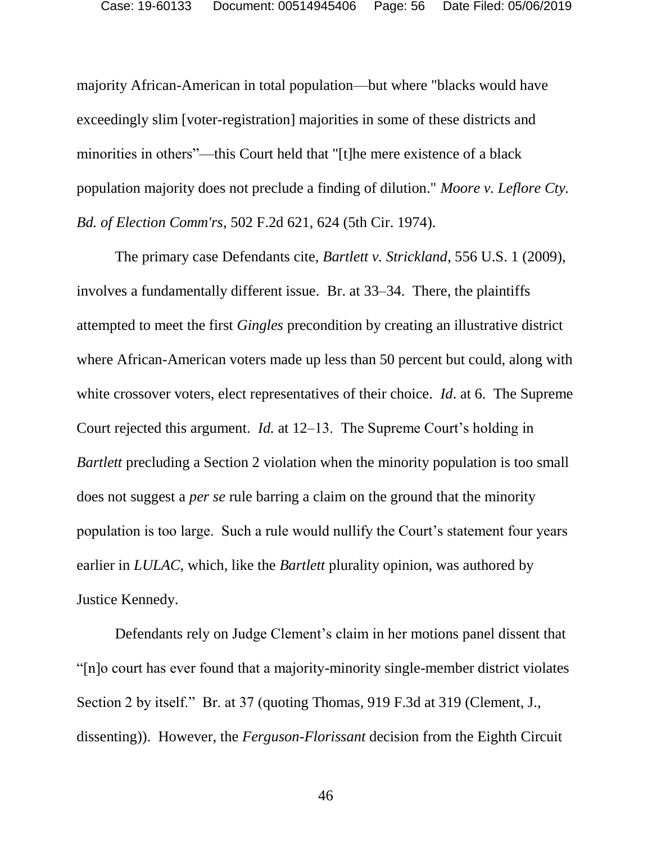majority African-American in total population—but where "blacks would have exceedingly slim [voter-registration] majorities in some of these districts and minorities in others"—this Court held that "[t]he mere existence of a black population majority does not preclude a finding of dilution." *Moore v. Leflore Cty. Bd. of Election Comm'rs*, 502 F.2d 621, 624 (5th Cir. 1974).

The primary case Defendants cite, *Bartlett v. Strickland*, 556 U.S. 1 (2009), involves a fundamentally different issue. Br. at 33–34. There, the plaintiffs attempted to meet the first *Gingles* precondition by creating an illustrative district where African-American voters made up less than 50 percent but could, along with white crossover voters, elect representatives of their choice. *Id*. at 6. The Supreme Court rejected this argument. *Id.* at 12–13. The Supreme Court's holding in *Bartlett* precluding a Section 2 violation when the minority population is too small does not suggest a *per se* rule barring a claim on the ground that the minority population is too large. Such a rule would nullify the Court's statement four years earlier in *LULAC*, which, like the *Bartlett* plurality opinion, was authored by Justice Kennedy.

Defendants rely on Judge Clement's claim in her motions panel dissent that "[n]o court has ever found that a majority-minority single-member district violates Section 2 by itself." Br. at 37 (quoting Thomas, 919 F.3d at 319 (Clement, J., dissenting)). However, the *Ferguson-Florissant* decision from the Eighth Circuit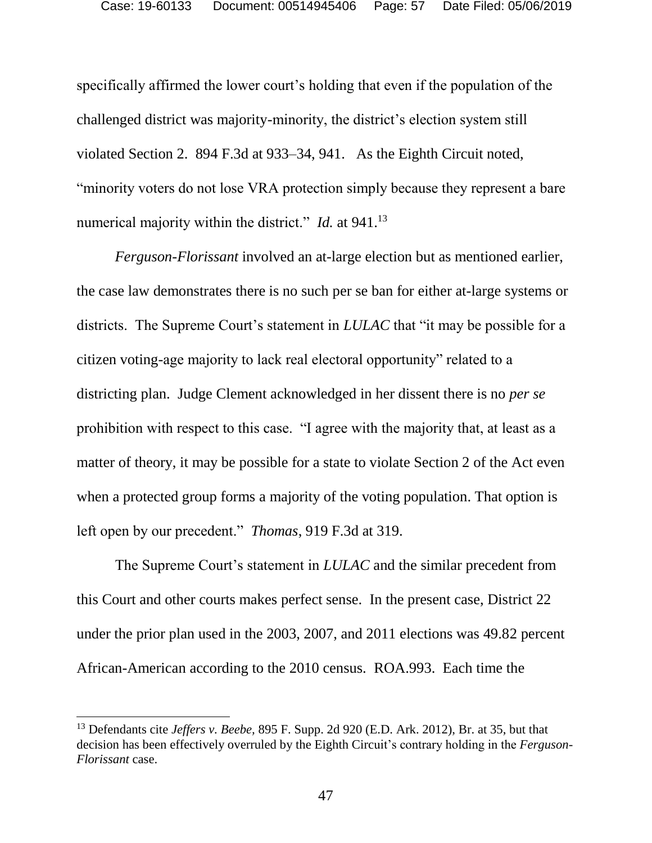specifically affirmed the lower court's holding that even if the population of the challenged district was majority-minority, the district's election system still violated Section 2. 894 F.3d at 933–34, 941. As the Eighth Circuit noted, "minority voters do not lose VRA protection simply because they represent a bare numerical majority within the district." *Id.* at 941.<sup>13</sup>

*Ferguson-Florissant* involved an at-large election but as mentioned earlier, the case law demonstrates there is no such per se ban for either at-large systems or districts. The Supreme Court's statement in *LULAC* that "it may be possible for a citizen voting-age majority to lack real electoral opportunity" related to a districting plan. Judge Clement acknowledged in her dissent there is no *per se*  prohibition with respect to this case. "I agree with the majority that, at least as a matter of theory, it may be possible for a state to violate Section 2 of the Act even when a protected group forms a majority of the voting population. That option is left open by our precedent." *Thomas*, 919 F.3d at 319.

The Supreme Court's statement in *LULAC* and the similar precedent from this Court and other courts makes perfect sense. In the present case, District 22 under the prior plan used in the 2003, 2007, and 2011 elections was 49.82 percent African-American according to the 2010 census. ROA.993. Each time the

l

<sup>13</sup> Defendants cite *Jeffers v. Beebe,* 895 F. Supp. 2d 920 (E.D. Ark. 2012), Br. at 35, but that decision has been effectively overruled by the Eighth Circuit's contrary holding in the *Ferguson-Florissant* case.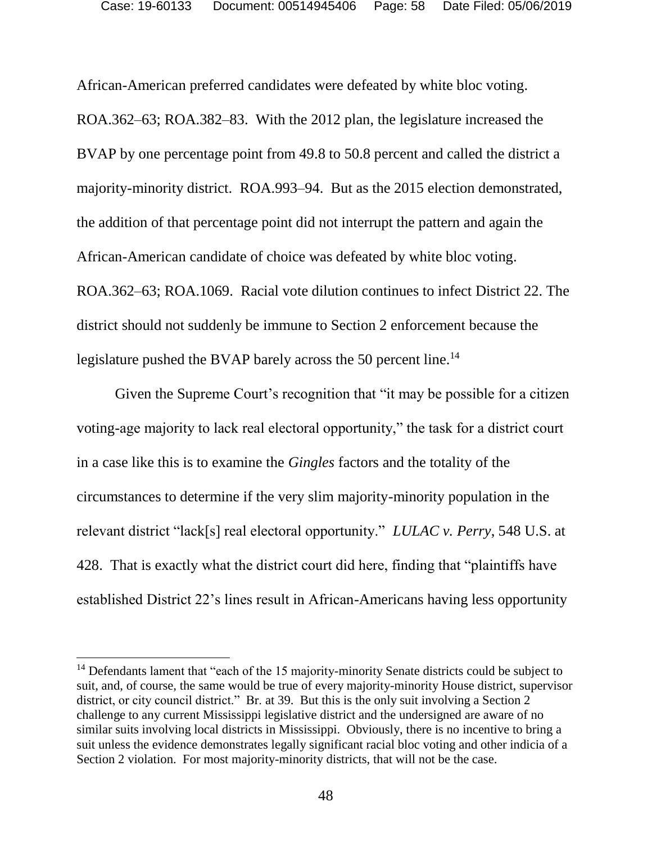African-American preferred candidates were defeated by white bloc voting. ROA.362–63; ROA.382–83. With the 2012 plan, the legislature increased the BVAP by one percentage point from 49.8 to 50.8 percent and called the district a majority-minority district. ROA.993–94. But as the 2015 election demonstrated, the addition of that percentage point did not interrupt the pattern and again the African-American candidate of choice was defeated by white bloc voting. ROA.362–63; ROA.1069. Racial vote dilution continues to infect District 22. The district should not suddenly be immune to Section 2 enforcement because the legislature pushed the BVAP barely across the 50 percent line.<sup>14</sup>

Given the Supreme Court's recognition that "it may be possible for a citizen voting-age majority to lack real electoral opportunity," the task for a district court in a case like this is to examine the *Gingles* factors and the totality of the circumstances to determine if the very slim majority-minority population in the relevant district "lack[s] real electoral opportunity." *LULAC v. Perry*, 548 U.S. at 428. That is exactly what the district court did here, finding that "plaintiffs have established District 22's lines result in African-Americans having less opportunity

l

<sup>&</sup>lt;sup>14</sup> Defendants lament that "each of the 15 majority-minority Senate districts could be subject to suit, and, of course, the same would be true of every majority-minority House district, supervisor district, or city council district." Br. at 39. But this is the only suit involving a Section 2 challenge to any current Mississippi legislative district and the undersigned are aware of no similar suits involving local districts in Mississippi. Obviously, there is no incentive to bring a suit unless the evidence demonstrates legally significant racial bloc voting and other indicia of a Section 2 violation. For most majority-minority districts, that will not be the case.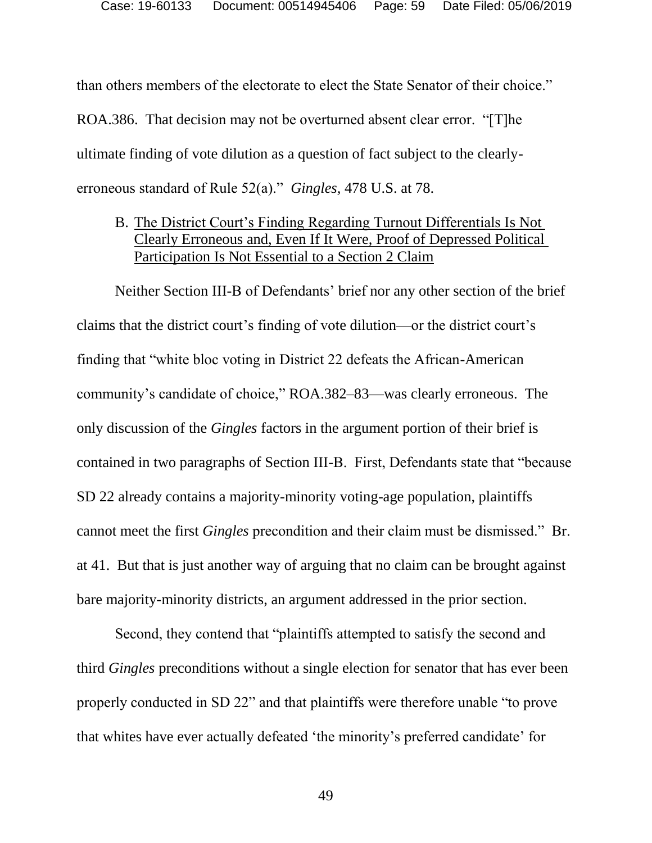than others members of the electorate to elect the State Senator of their choice." ROA.386. That decision may not be overturned absent clear error. "[T]he ultimate finding of vote dilution as a question of fact subject to the clearlyerroneous standard of Rule 52(a)." *Gingles,* 478 U.S. at 78.

B. The District Court's Finding Regarding Turnout Differentials Is Not Clearly Erroneous and, Even If It Were, Proof of Depressed Political Participation Is Not Essential to a Section 2 Claim

Neither Section III-B of Defendants' brief nor any other section of the brief claims that the district court's finding of vote dilution—or the district court's finding that "white bloc voting in District 22 defeats the African-American community's candidate of choice," ROA.382–83—was clearly erroneous. The only discussion of the *Gingles* factors in the argument portion of their brief is contained in two paragraphs of Section III-B. First, Defendants state that "because SD 22 already contains a majority-minority voting-age population, plaintiffs cannot meet the first *Gingles* precondition and their claim must be dismissed." Br. at 41. But that is just another way of arguing that no claim can be brought against bare majority-minority districts, an argument addressed in the prior section.

Second, they contend that "plaintiffs attempted to satisfy the second and third *Gingles* preconditions without a single election for senator that has ever been properly conducted in SD 22" and that plaintiffs were therefore unable "to prove that whites have ever actually defeated 'the minority's preferred candidate' for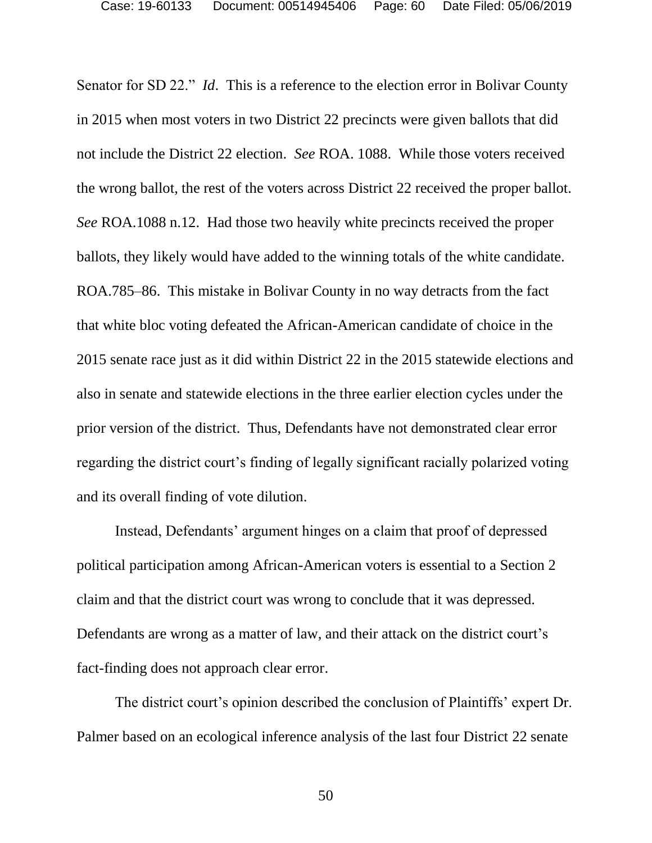Senator for SD 22." *Id*. This is a reference to the election error in Bolivar County in 2015 when most voters in two District 22 precincts were given ballots that did not include the District 22 election. *See* ROA. 1088. While those voters received the wrong ballot, the rest of the voters across District 22 received the proper ballot. *See* ROA.1088 n.12. Had those two heavily white precincts received the proper ballots, they likely would have added to the winning totals of the white candidate. ROA.785–86. This mistake in Bolivar County in no way detracts from the fact that white bloc voting defeated the African-American candidate of choice in the 2015 senate race just as it did within District 22 in the 2015 statewide elections and also in senate and statewide elections in the three earlier election cycles under the prior version of the district. Thus, Defendants have not demonstrated clear error regarding the district court's finding of legally significant racially polarized voting and its overall finding of vote dilution.

Instead, Defendants' argument hinges on a claim that proof of depressed political participation among African-American voters is essential to a Section 2 claim and that the district court was wrong to conclude that it was depressed. Defendants are wrong as a matter of law, and their attack on the district court's fact-finding does not approach clear error.

The district court's opinion described the conclusion of Plaintiffs' expert Dr. Palmer based on an ecological inference analysis of the last four District 22 senate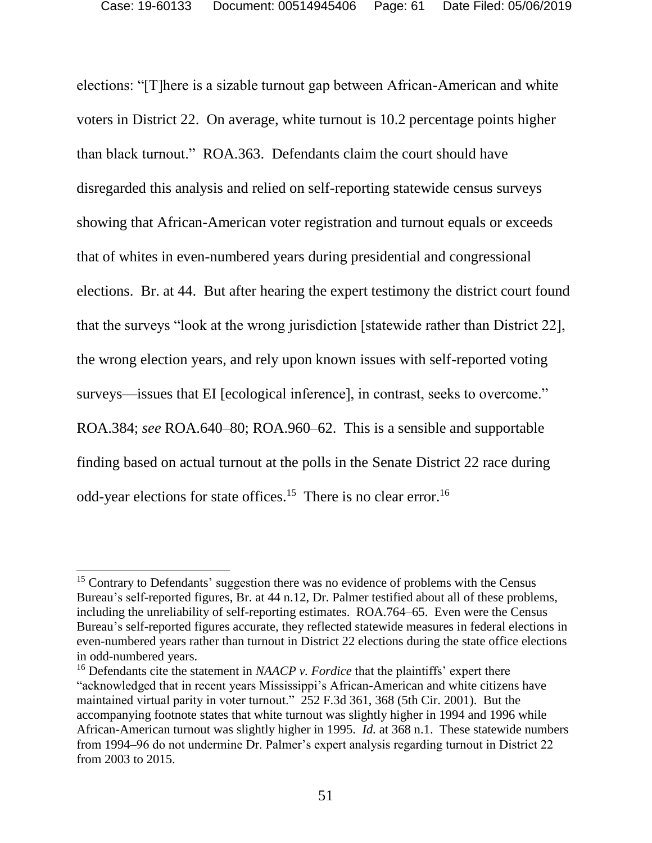elections: "[T]here is a sizable turnout gap between African-American and white voters in District 22. On average, white turnout is 10.2 percentage points higher than black turnout." ROA.363. Defendants claim the court should have disregarded this analysis and relied on self-reporting statewide census surveys showing that African-American voter registration and turnout equals or exceeds that of whites in even-numbered years during presidential and congressional elections. Br. at 44. But after hearing the expert testimony the district court found that the surveys "look at the wrong jurisdiction [statewide rather than District 22], the wrong election years, and rely upon known issues with self-reported voting surveys—issues that EI [ecological inference], in contrast, seeks to overcome." ROA.384; *see* ROA.640–80; ROA.960–62. This is a sensible and supportable finding based on actual turnout at the polls in the Senate District 22 race during odd-year elections for state offices.<sup>15</sup> There is no clear error.<sup>16</sup>

 $15$  Contrary to Defendants' suggestion there was no evidence of problems with the Census Bureau's self-reported figures, Br. at 44 n.12, Dr. Palmer testified about all of these problems, including the unreliability of self-reporting estimates. ROA.764–65. Even were the Census Bureau's self-reported figures accurate, they reflected statewide measures in federal elections in even-numbered years rather than turnout in District 22 elections during the state office elections in odd-numbered years.

<sup>16</sup> Defendants cite the statement in *NAACP v. Fordice* that the plaintiffs' expert there "acknowledged that in recent years Mississippi's African-American and white citizens have maintained virtual parity in voter turnout."252 F.3d 361, 368 (5th Cir. 2001). But the accompanying footnote states that white turnout was slightly higher in 1994 and 1996 while African-American turnout was slightly higher in 1995. *Id.* at 368 n.1. These statewide numbers from 1994–96 do not undermine Dr. Palmer's expert analysis regarding turnout in District 22 from 2003 to 2015.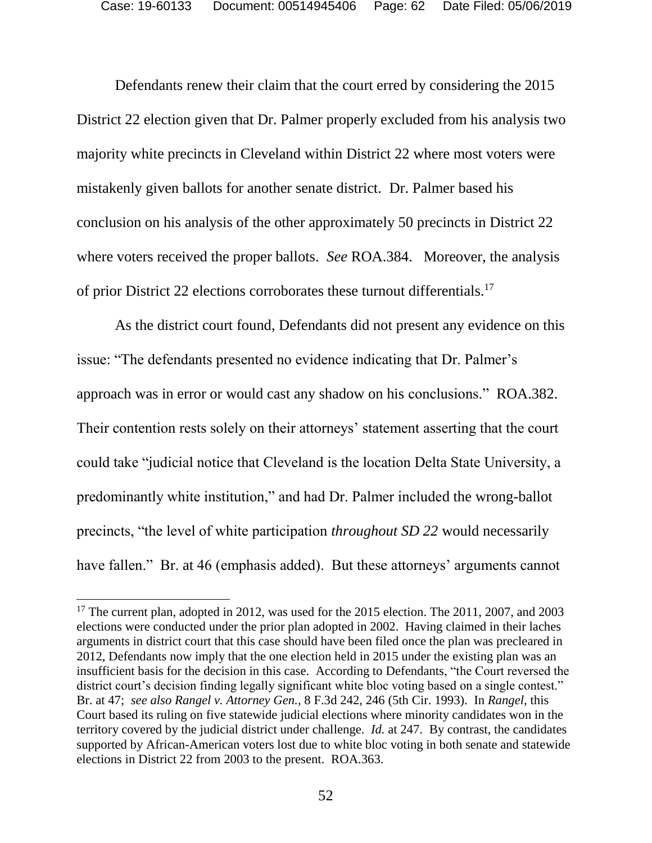Defendants renew their claim that the court erred by considering the 2015 District 22 election given that Dr. Palmer properly excluded from his analysis two majority white precincts in Cleveland within District 22 where most voters were mistakenly given ballots for another senate district. Dr. Palmer based his conclusion on his analysis of the other approximately 50 precincts in District 22 where voters received the proper ballots. *See* ROA.384. Moreover, the analysis of prior District 22 elections corroborates these turnout differentials.<sup>17</sup>

As the district court found, Defendants did not present any evidence on this issue: "The defendants presented no evidence indicating that Dr. Palmer's approach was in error or would cast any shadow on his conclusions." ROA.382. Their contention rests solely on their attorneys' statement asserting that the court could take "judicial notice that Cleveland is the location Delta State University, a predominantly white institution," and had Dr. Palmer included the wrong-ballot precincts, "the level of white participation *throughout SD 22* would necessarily have fallen." Br. at 46 (emphasis added). But these attorneys' arguments cannot

<sup>&</sup>lt;sup>17</sup> The current plan, adopted in 2012, was used for the 2015 election. The 2011, 2007, and 2003 elections were conducted under the prior plan adopted in 2002. Having claimed in their laches arguments in district court that this case should have been filed once the plan was precleared in 2012, Defendants now imply that the one election held in 2015 under the existing plan was an insufficient basis for the decision in this case. According to Defendants, "the Court reversed the district court's decision finding legally significant white bloc voting based on a single contest." Br. at 47; *see also Rangel v. Attorney Gen.,* 8 F.3d 242, 246 (5th Cir. 1993). In *Rangel,* this Court based its ruling on five statewide judicial elections where minority candidates won in the territory covered by the judicial district under challenge. *Id.* at 247. By contrast, the candidates supported by African-American voters lost due to white bloc voting in both senate and statewide elections in District 22 from 2003 to the present. ROA.363.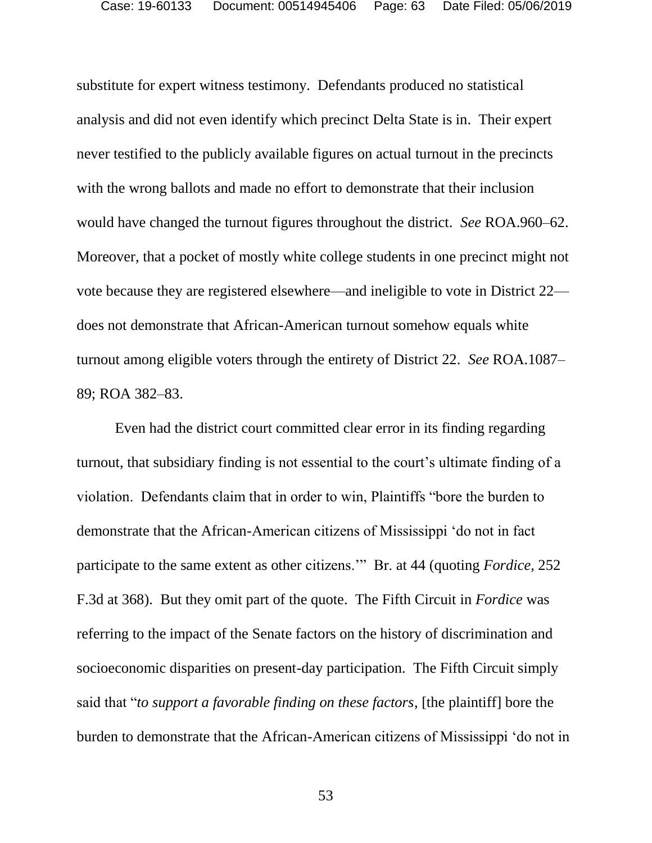substitute for expert witness testimony. Defendants produced no statistical analysis and did not even identify which precinct Delta State is in. Their expert never testified to the publicly available figures on actual turnout in the precincts with the wrong ballots and made no effort to demonstrate that their inclusion would have changed the turnout figures throughout the district. *See* ROA.960–62. Moreover, that a pocket of mostly white college students in one precinct might not vote because they are registered elsewhere—and ineligible to vote in District 22 does not demonstrate that African-American turnout somehow equals white turnout among eligible voters through the entirety of District 22. *See* ROA.1087– 89; ROA 382–83.

Even had the district court committed clear error in its finding regarding turnout, that subsidiary finding is not essential to the court's ultimate finding of a violation. Defendants claim that in order to win, Plaintiffs "bore the burden to demonstrate that the African-American citizens of Mississippi 'do not in fact participate to the same extent as other citizens.'" Br. at 44 (quoting *Fordice,* 252 F.3d at 368). But they omit part of the quote. The Fifth Circuit in *Fordice* was referring to the impact of the Senate factors on the history of discrimination and socioeconomic disparities on present-day participation. The Fifth Circuit simply said that "*to support a favorable finding on these factors*, [the plaintiff] bore the burden to demonstrate that the African-American citizens of Mississippi 'do not in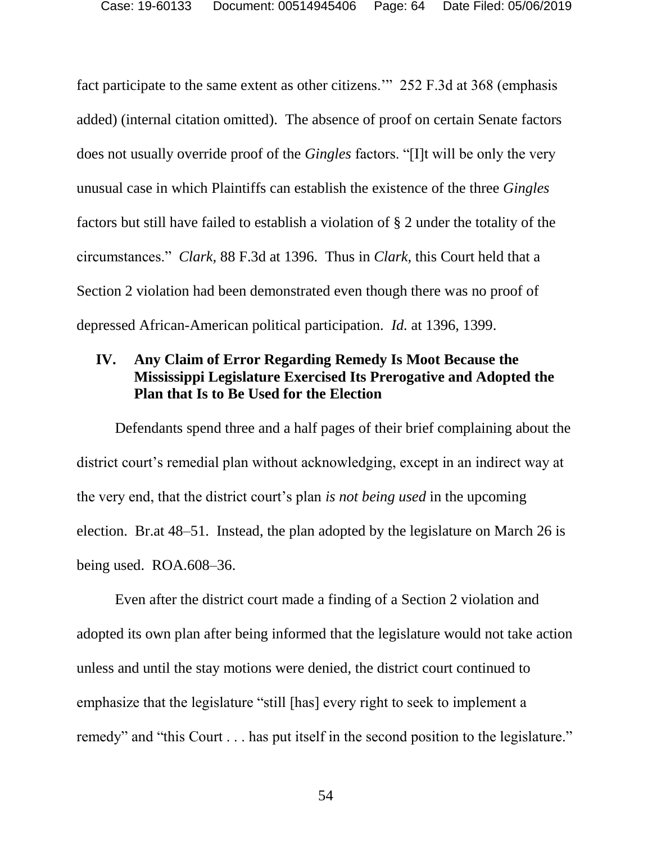fact participate to the same extent as other citizens.'" 252 F.3d at 368 (emphasis added) (internal citation omitted). The absence of proof on certain Senate factors does not usually override proof of the *Gingles* factors. "[I]t will be only the very unusual case in which Plaintiffs can establish the existence of the three *Gingles* factors but still have failed to establish a violation of § 2 under the totality of the circumstances." *Clark,* 88 F.3d at 1396. Thus in *Clark,* this Court held that a Section 2 violation had been demonstrated even though there was no proof of depressed African-American political participation. *Id.* at 1396, 1399.

# **IV. Any Claim of Error Regarding Remedy Is Moot Because the Mississippi Legislature Exercised Its Prerogative and Adopted the Plan that Is to Be Used for the Election**

Defendants spend three and a half pages of their brief complaining about the district court's remedial plan without acknowledging, except in an indirect way at the very end, that the district court's plan *is not being used* in the upcoming election. Br.at 48–51. Instead, the plan adopted by the legislature on March 26 is being used. ROA.608–36.

Even after the district court made a finding of a Section 2 violation and adopted its own plan after being informed that the legislature would not take action unless and until the stay motions were denied, the district court continued to emphasize that the legislature "still [has] every right to seek to implement a remedy" and "this Court . . . has put itself in the second position to the legislature."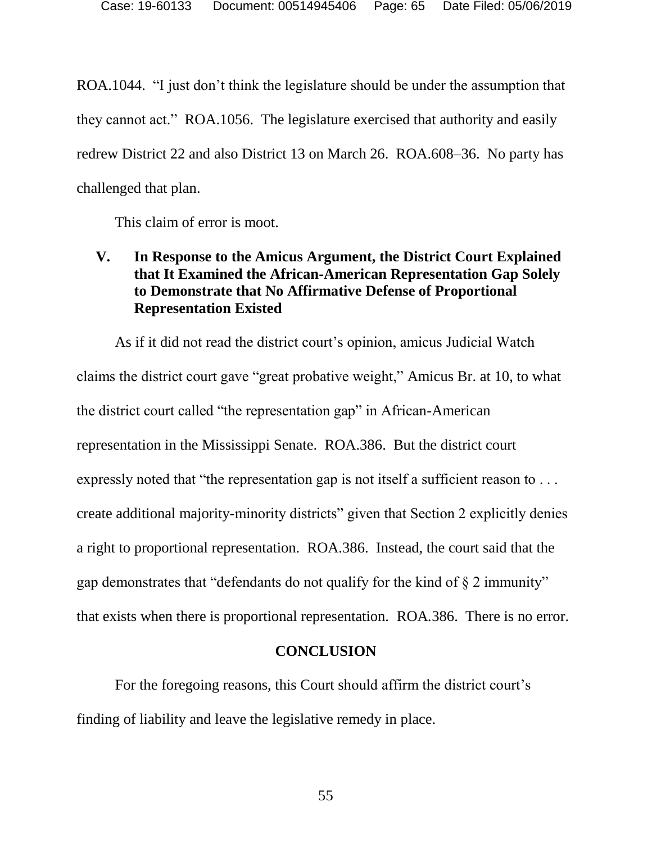ROA.1044. "I just don't think the legislature should be under the assumption that they cannot act." ROA.1056. The legislature exercised that authority and easily redrew District 22 and also District 13 on March 26. ROA.608–36. No party has challenged that plan.

This claim of error is moot.

# **V. In Response to the Amicus Argument, the District Court Explained that It Examined the African-American Representation Gap Solely to Demonstrate that No Affirmative Defense of Proportional Representation Existed**

As if it did not read the district court's opinion, amicus Judicial Watch claims the district court gave "great probative weight," Amicus Br. at 10, to what the district court called "the representation gap" in African-American representation in the Mississippi Senate. ROA.386. But the district court expressly noted that "the representation gap is not itself a sufficient reason to ... create additional majority-minority districts" given that Section 2 explicitly denies a right to proportional representation. ROA.386. Instead, the court said that the gap demonstrates that "defendants do not qualify for the kind of § 2 immunity" that exists when there is proportional representation. ROA*.*386.There is no error.

### **CONCLUSION**

For the foregoing reasons, this Court should affirm the district court's finding of liability and leave the legislative remedy in place.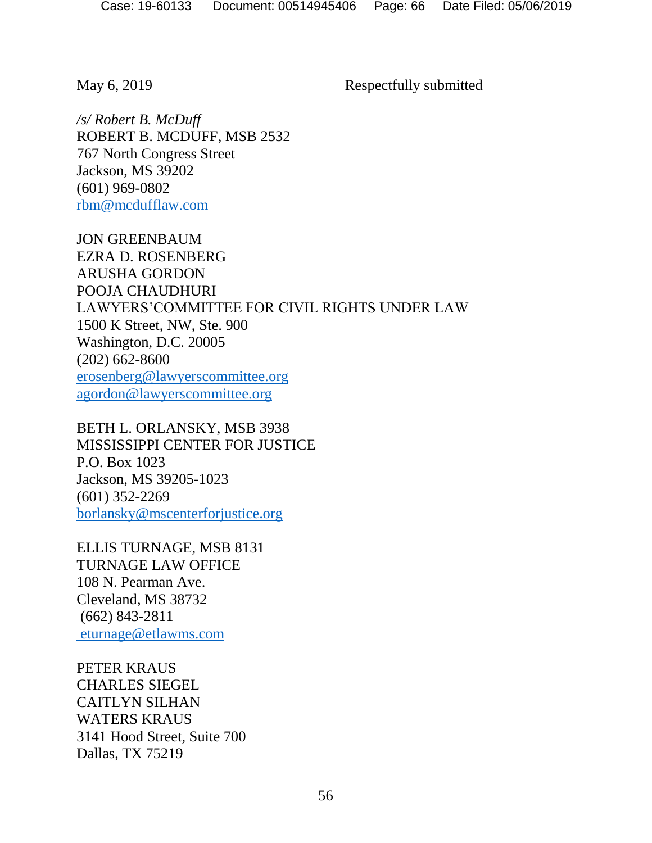May 6, 2019 Respectfully submitted

*/s/ Robert B. McDuff* ROBERT B. MCDUFF, MSB 2532 767 North Congress Street Jackson, MS 39202 (601) 969-0802 [rbm@mcdufflaw.com](mailto:rbm@mcdufflaw.com)

JON GREENBAUM EZRA D. ROSENBERG ARUSHA GORDON POOJA CHAUDHURI LAWYERS'COMMITTEE FOR CIVIL RIGHTS UNDER LAW 1500 K Street, NW, Ste. 900 Washington, D.C. 20005 (202) 662-8600 [erosenberg@lawyerscommittee.org](mailto:erosenberg@lawyerscommittee.org) [agordon@lawyerscommittee.org](mailto:agordon@lawyerscommittee.org)

BETH L. ORLANSKY, MSB 3938 MISSISSIPPI CENTER FOR JUSTICE P.O. Box 1023 Jackson, MS 39205-1023 (601) 352-2269 [borlansky@mscenterforjustice.org](mailto:borlansky@mscenterforjustice.org)

ELLIS TURNAGE, MSB 8131 TURNAGE LAW OFFICE 108 N. Pearman Ave. Cleveland, MS 38732 (662) 843-2811 [eturnage@etlawms.com](mailto:eturnage@etlawms.com)

PETER KRAUS CHARLES SIEGEL CAITLYN SILHAN WATERS KRAUS 3141 Hood Street, Suite 700 Dallas, TX 75219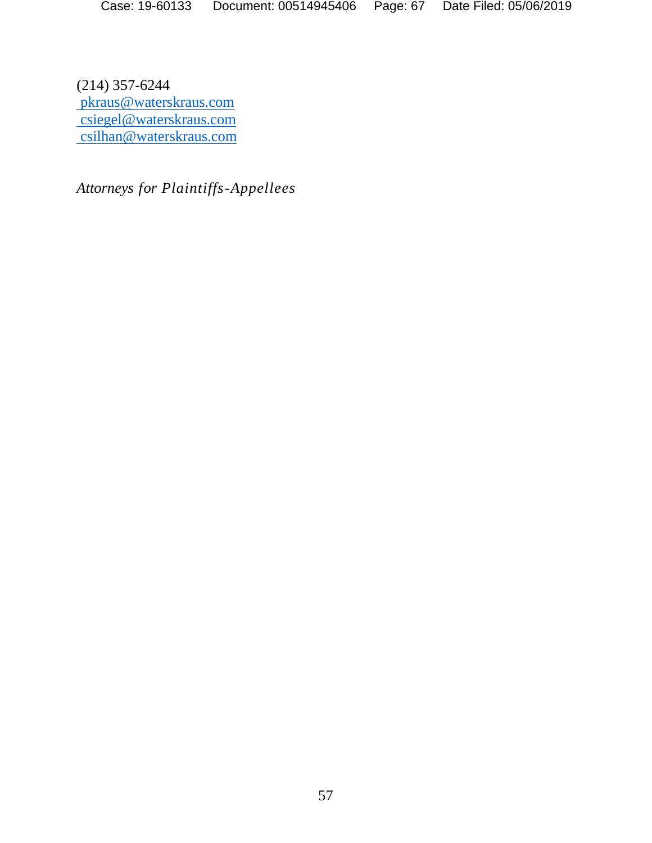(214) 357-6244 [pkraus@waterskraus.com](mailto:pkraus@waterskraus.com) [csiegel@waterskraus.com](mailto:csiegel@waterskraus.com) [csilhan@waterskraus.com](mailto:csilhan@waterskraus.com)

*Attorneys for Plaintiffs-Appellees*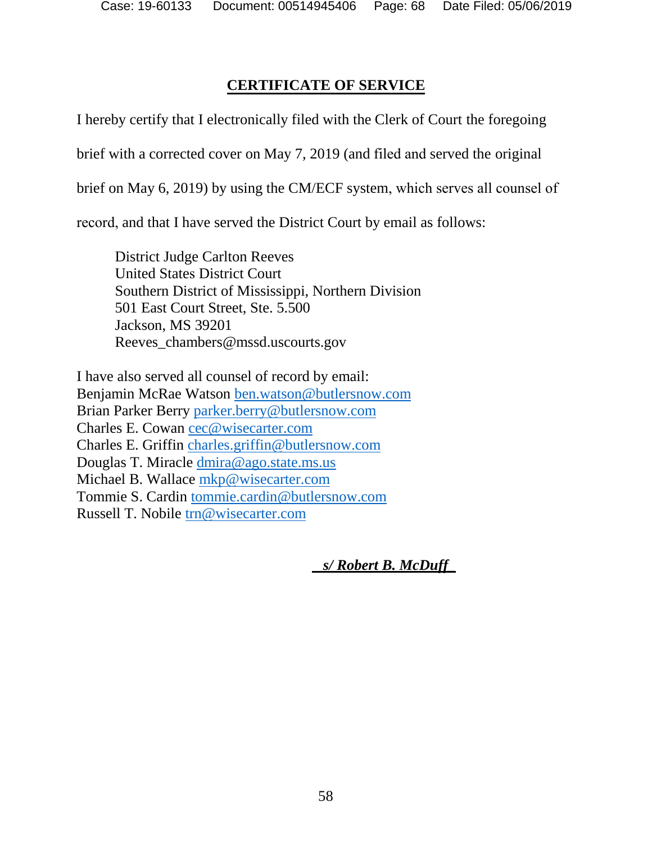# **CERTIFICATE OF SERVICE**

I hereby certify that I electronically filed with the Clerk of Court the foregoing

brief with a corrected cover on May 7, 2019 (and filed and served the original

brief on May 6, 2019) by using the CM/ECF system, which serves all counsel of

record, and that I have served the District Court by email as follows:

District Judge Carlton Reeves United States District Court Southern District of Mississippi, Northern Division 501 East Court Street, Ste. 5.500 Jackson, MS 39201 Reeves\_chambers@mssd.uscourts.gov

I have also served all counsel of record by email: Benjamin McRae Watson [ben.watson@butlersnow.com](mailto:ben.watson@butlersnow.com) Brian Parker Berry [parker.berry@butlersnow.com](mailto:parker.berry@butlersnow.com) Charles E. Cowan [cec@wisecarter.com](mailto:cec@wisecarter.com) Charles E. Griffin [charles.griffin@butlersnow.com](mailto:charles.griffin@butlersnow.com) Douglas T. Miracle [dmira@ago.state.ms.us](mailto:dmira@ago.state.ms.us)  Michael B. Wallace [mkp@wisecarter.com](mailto:mkp@wisecarter.com) Tommie S. Cardin [tommie.cardin@butlersnow.com](mailto:tommie.cardin@butlersnow.com) Russell T. Nobile [trn@wisecarter.com](mailto:trn@wisecarter.com)

 *s/ Robert B. McDuff\_*